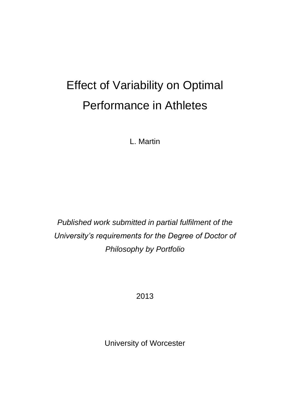# Effect of Variability on Optimal Performance in Athletes

L. Martin

*Published work submitted in partial fulfilment of the University's requirements for the Degree of Doctor of Philosophy by Portfolio*

2013

University of Worcester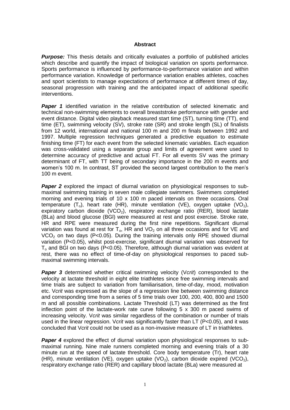### **Abstract**

**Purpose:** This thesis details and critically evaluates a portfolio of published articles which describe and quantify the impact of biological variation on sports performance. Sports performance is influenced by performance-to-performance variation and within performance variation. Knowledge of performance variation enables athletes, coaches and sport scientists to manage expectations of performance at different times of day, seasonal progression with training and the anticipated impact of additional specific interventions.

**Paper 1** identified variation in the relative contribution of selected kinematic and technical non-swimming elements to overall breaststroke performance with gender and event distance. Digital video playback measured start time (ST), turning time (TT), end time (ET), swimming velocity (SV), stroke rate (SR) and stroke length (SL) of finalists from 12 world, international and national 100 m and 200 m finals between 1992 and 1997. Multiple regression techniques generated a predictive equation to estimate finishing time (FT) for each event from the selected kinematic variables. Each equation was cross-validated using a separate group and limits of agreement were used to determine accuracy of predictive and actual FT. For all events SV was the primary determinant of FT, with TT being of secondary importance in the 200 m events and women's 100 m. In contrast, ST provided the second largest contribution to the men's 100 m event.

**Paper 2** explored the impact of diurnal variation on physiological responses to submaximal swimming training in seven male collegiate swimmers. Swimmers completed morning and evening trials of 10 x 100 m paced intervals on three occasions. Oral temperature  $(T_0)$ , heart rate (HR), minute ventilation (VE), oxygen uptake (VO<sub>2</sub>), expiratory carbon dioxide (VCO<sub>2</sub>), respiratory exchange ratio (RER), blood lactate (BLa) and blood glucose (BGl) were measured at rest and post exercise. Stroke rate, HR and RPE were measured during the first nine repetitions. Significant diurnal variation was found at rest for  $T_0$ , HR and VO<sub>2</sub> on all three occasions and for VE and  $VCO<sub>2</sub>$  on two days (P<0.05). During the training intervals only RPE showed diurnal variation (P<0.05), whilst post-exercise, significant diurnal variation was observed for  $T<sub>o</sub>$  and BGI on two days (P<0.05). Therefore, although diurnal variation was evident at rest, there was no effect of time-of-day on physiological responses to paced submaximal swimming intervals.

**Paper 3** determined whether critical swimming velocity (Vcrit) corresponded to the velocity at lactate threshold in eight elite triathletes since free swimming intervals and time trials are subject to variation from familiarisation, time-of-day, mood, motivation etc. V*crit* was expressed as the slope of a regression line between swimming distance and corresponding time from a series of 5 time trials over 100, 200, 400, 800 and 1500 m and all possible combinations. Lactate Threshold (LT) was determined as the first inflection point of the lactate-work rate curve following  $5 \times 300$  m paced swims of increasing velocity. V*crit* was similar regardless of the combination or number of trials used in the linear regression. V*crit* was significantly faster than LT (P<0.05), and it was concluded that V*crit* could not be used as a non-invasive measure of LT in triathletes.

**Paper 4** explored the effect of diurnal variation upon physiological responses to submaximal running. Nine male runners completed morning and evening trials of a 30 minute run at the speed of lactate threshold. Core body temperature (Tr), heart rate (HR), minute ventilation (VE), oxygen uptake (VO<sub>2</sub>), carbon dioxide expired (VCO<sub>2</sub>), respiratory exchange ratio (RER) and capillary blood lactate (BLa) were measured at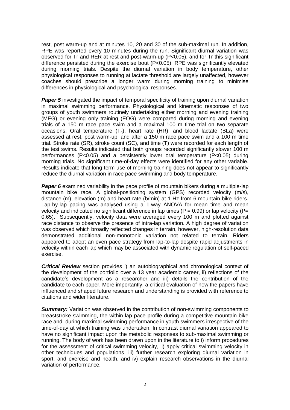rest, post warm-up and at minutes 10, 20 and 30 of the sub-maximal run. In addition, RPE was reported every 10 minutes during the run. Significant diurnal variation was observed for Tr and RER at rest and post-warm-up (P<0.05), and for Tr this significant difference persisted during the exercise bout  $(P<0.05)$ . RPE was significantly elevated during morning trials. Despite the diurnal variation in body temperature, other physiological responses to running at lactate threshold are largely unaffected, however coaches should prescribe a longer warm during morning training to minimise differences in physiological and psychological responses.

**Paper 5** investigated the impact of temporal specificity of training upon diurnal variation in maximal swimming performance. Physiological and kinematic responses of two groups of youth swimmers routinely undertaking either morning and evening training (MEG) or evening only training (EOG) were compared during morning and evening trials of a 150 m race pace swim and a maximal 100 m time trial on two separate occasions. Oral temperature  $(T_0)$ , heart rate (HR), and blood lactate (BLa) were assessed at rest, post warm-up, and after a 150 m race pace swim and a 100 m time trial. Stroke rate (SR), stroke count (SC), and time (T) were recorded for each length of the test swims. Results indicated that both groups recorded significantly slower 100 m performances (P<0.05) and a persistently lower oral temperature (P<0.05) during morning trials. No significant time-of-day effects were identified for any other variable. Results indicate that long term use of morning training does not appear to significantly reduce the diurnal variation in race pace swimming and body temperature.

**Paper 6** examined variability in the pace profile of mountain bikers during a multiple-lap mountain bike race. A global-positioning system (GPS) recorded velocity (m/s), distance (m), elevation (m) and heart rate (b/min) at 1 Hz from 6 mountain bike riders. Lap-by-lap pacing was analysed using a 1-way ANOVA for mean time and mean velocity and indicated no significant difference in lap times ( $P = 0.99$ ) or lap velocity ( $P=$ 0.65). Subsequently, velocity data were averaged every 100 m and plotted against race distance to observe the presence of intra-lap variation. A high degree of variation was observed which broadly reflected changes in terrain, however, high-resolution data demonstrated additional non-monotonic variation not related to terrain. Riders appeared to adopt an even pace strategy from lap-to-lap despite rapid adjustments in velocity within each lap which may be associated with dynamic regulation of self-paced exercise.

*Critical Review* section provides i) an autobiographical and chronological context of the development of the portfolio over a 13 year academic career, ii) reflections of the candidate's development as a researcher and iii) details the contribution of the candidate to each paper. More importantly, a critical evaluation of how the papers have influenced and shaped future research and understanding is provided with reference to citations and wider literature.

**Summary:** Variation was observed in the contribution of non-swimming components to breaststroke swimming, the within-lap pace profile during a competitive mountain bike race and during maximal swimming performance in youth swimmers irrespective of the time-of-day at which training was undertaken. In contrast diurnal variation appeared to have no significant impact upon the metabolic responses to sub-maximal swimming or running. The body of work has been drawn upon in the literature to i) inform procedures for the assessment of critical swimming velocity, ii) apply critical swimming velocity in other techniques and populations, iii) further research exploring diurnal variation in sport, and exercise and health, and iv) explain research observations in the diurnal variation of performance.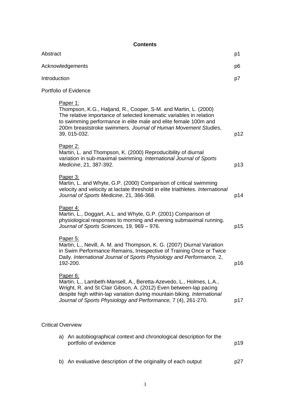## **Contents**

| Abstract     |                                                                                                                                                                                                                                                                                                         | p1  |
|--------------|---------------------------------------------------------------------------------------------------------------------------------------------------------------------------------------------------------------------------------------------------------------------------------------------------------|-----|
|              | Acknowledgements                                                                                                                                                                                                                                                                                        | p6  |
| Introduction |                                                                                                                                                                                                                                                                                                         | p7  |
|              | Portfolio of Evidence                                                                                                                                                                                                                                                                                   |     |
|              | Paper 1:<br>Thompson, K.G., Haljand, R., Cooper, S-M. and Martin, L. (2000)<br>The relative importance of selected kinematic variables in relation<br>to swimming performance in elite male and elite female 100m and<br>200m breaststroke swimmers. Journal of Human Movement Studies,<br>39, 015-032. | p12 |
|              | Paper 2:<br>Martin, L. and Thompson, K. (2000) Reproducibility of diurnal<br>variation in sub-maximal swimming. International Journal of Sports<br>Medicine, 21, 387-392.                                                                                                                               | p13 |
|              | Paper 3:<br>Martin, L. and Whyte, G.P. (2000) Comparison of critical swimming<br>velocity and velocity at lactate threshold in elite triathletes. International<br>Journal of Sports Medicine, 21, 366-368.                                                                                             | p14 |
|              | Paper 4:<br>Martin, L., Doggart, A.L. and Whyte, G.P. (2001) Comparison of<br>physiological responses to morning and evening submaximal running.<br>Journal of Sports Sciences, 19, 969 - 976.                                                                                                          | p15 |
|              | Paper 5:<br>Martin, L., Nevill, A. M. and Thompson, K. G. (2007) Diurnal Variation<br>in Swim Performance Remains, Irrespective of Training Once or Twice<br>Daily. International Journal of Sports Physiology and Performance, 2,<br>192-200.                                                          | p16 |
|              | Paper 6:<br>Martin, L., Lambeth-Mansell, A., Beretta-Azevedo, L., Holmes, L.A.,<br>Wright, R. and St Clair Gibson, A. (2012) Even between-lap pacing<br>despite high within-lap variation during mountain biking. International<br>Journal of Sports Physiology and Performance, 7 (4), 261-270.        | p17 |
|              | <b>Critical Overview</b>                                                                                                                                                                                                                                                                                |     |
|              | a) An autobiographical context and chronological description for the<br>portfolio of evidence                                                                                                                                                                                                           | p19 |
|              | b) An evaluative description of the originality of each output                                                                                                                                                                                                                                          | p27 |
|              |                                                                                                                                                                                                                                                                                                         |     |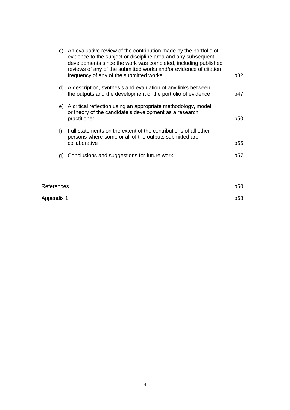| C) | An evaluative review of the contribution made by the portfolio of<br>evidence to the subject or discipline area and any subsequent<br>developments since the work was completed, including published<br>reviews of any of the submitted works and/or evidence of citation<br>frequency of any of the submitted works | p32 |
|----|----------------------------------------------------------------------------------------------------------------------------------------------------------------------------------------------------------------------------------------------------------------------------------------------------------------------|-----|
| d) | A description, synthesis and evaluation of any links between<br>the outputs and the development of the portfolio of evidence                                                                                                                                                                                         | p47 |
| e) | A critical reflection using an appropriate methodology, model<br>or theory of the candidate's development as a research<br>practitioner                                                                                                                                                                              | p50 |
| f) | Full statements on the extent of the contributions of all other<br>persons where some or all of the outputs submitted are<br>collaborative                                                                                                                                                                           | p55 |
| g) | Conclusions and suggestions for future work                                                                                                                                                                                                                                                                          | p57 |
|    |                                                                                                                                                                                                                                                                                                                      |     |

| References | p60 |
|------------|-----|
| Appendix 1 | p68 |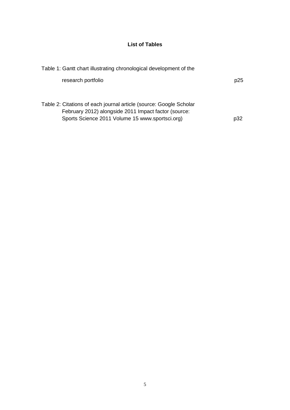### **List of Tables**

| Table 1: Gantt chart illustrating chronological development of the                                                                                                            |     |
|-------------------------------------------------------------------------------------------------------------------------------------------------------------------------------|-----|
| research portfolio                                                                                                                                                            | p25 |
| Table 2: Citations of each journal article (source: Google Scholar<br>February 2012) alongside 2011 Impact factor (source:<br>Sports Science 2011 Volume 15 www.sportsci.org) | p32 |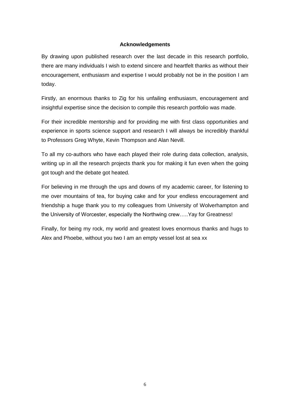### **Acknowledgements**

By drawing upon published research over the last decade in this research portfolio, there are many individuals I wish to extend sincere and heartfelt thanks as without their encouragement, enthusiasm and expertise I would probably not be in the position I am today.

Firstly, an enormous thanks to Zig for his unfailing enthusiasm, encouragement and insightful expertise since the decision to compile this research portfolio was made.

For their incredible mentorship and for providing me with first class opportunities and experience in sports science support and research I will always be incredibly thankful to Professors Greg Whyte, Kevin Thompson and Alan Nevill.

To all my co-authors who have each played their role during data collection, analysis, writing up in all the research projects thank you for making it fun even when the going got tough and the debate got heated.

For believing in me through the ups and downs of my academic career, for listening to me over mountains of tea, for buying cake and for your endless encouragement and friendship a huge thank you to my colleagues from University of Wolverhampton and the University of Worcester, especially the Northwing crew…..Yay for Greatness!

Finally, for being my rock, my world and greatest loves enormous thanks and hugs to Alex and Phoebe, without you two I am an empty vessel lost at sea xx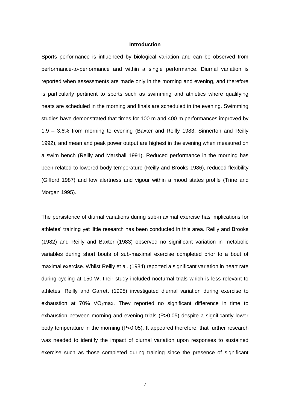### **Introduction**

Sports performance is influenced by biological variation and can be observed from performance-to-performance and within a single performance. Diurnal variation is reported when assessments are made only in the morning and evening, and therefore is particularly pertinent to sports such as swimming and athletics where qualifying heats are scheduled in the morning and finals are scheduled in the evening. Swimming studies have demonstrated that times for 100 m and 400 m performances improved by 1.9 – 3.6% from morning to evening (Baxter and Reilly 1983; Sinnerton and Reilly 1992), and mean and peak power output are highest in the evening when measured on a swim bench (Reilly and Marshall 1991). Reduced performance in the morning has been related to lowered body temperature (Reilly and Brooks 1986), reduced flexibility (Gifford 1987) and low alertness and vigour within a mood states profile (Trine and Morgan 1995).

The persistence of diurnal variations during sub-maximal exercise has implications for athletes' training yet little research has been conducted in this area. Reilly and Brooks (1982) and Reilly and Baxter (1983) observed no significant variation in metabolic variables during short bouts of sub-maximal exercise completed prior to a bout of maximal exercise. Whilst Reilly et al. (1984) reported a significant variation in heart rate during cycling at 150 W, their study included nocturnal trials which is less relevant to athletes. Reilly and Garrett (1998) investigated diurnal variation during exercise to exhaustion at  $70\%$  VO<sub>2</sub>max. They reported no significant difference in time to exhaustion between morning and evening trials (P>0.05) despite a significantly lower body temperature in the morning (P<0.05). It appeared therefore, that further research was needed to identify the impact of diurnal variation upon responses to sustained exercise such as those completed during training since the presence of significant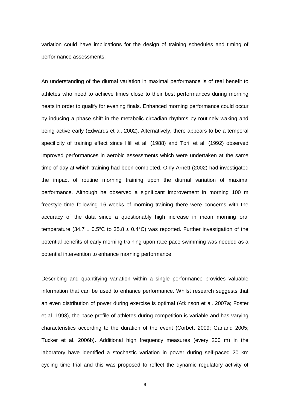variation could have implications for the design of training schedules and timing of performance assessments.

An understanding of the diurnal variation in maximal performance is of real benefit to athletes who need to achieve times close to their best performances during morning heats in order to qualify for evening finals. Enhanced morning performance could occur by inducing a phase shift in the metabolic circadian rhythms by routinely waking and being active early (Edwards et al. 2002). Alternatively, there appears to be a temporal specificity of training effect since Hill et al. (1988) and Torii et al. (1992) observed improved performances in aerobic assessments which were undertaken at the same time of day at which training had been completed. Only Arnett (2002) had investigated the impact of routine morning training upon the diurnal variation of maximal performance. Although he observed a significant improvement in morning 100 m freestyle time following 16 weeks of morning training there were concerns with the accuracy of the data since a questionably high increase in mean morning oral temperature (34.7  $\pm$  0.5°C to 35.8  $\pm$  0.4°C) was reported. Further investigation of the potential benefits of early morning training upon race pace swimming was needed as a potential intervention to enhance morning performance.

Describing and quantifying variation within a single performance provides valuable information that can be used to enhance performance. Whilst research suggests that an even distribution of power during exercise is optimal (Atkinson et al. 2007a; Foster et al. 1993), the pace profile of athletes during competition is variable and has varying characteristics according to the duration of the event (Corbett 2009; Garland 2005; Tucker et al. 2006b). Additional high frequency measures (every 200 m) in the laboratory have identified a stochastic variation in power during self-paced 20 km cycling time trial and this was proposed to reflect the dynamic regulatory activity of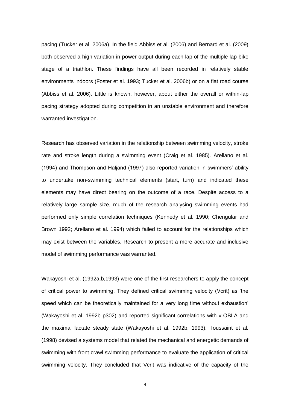pacing (Tucker et al. 2006a). In the field Abbiss et al. (2006) and Bernard et al. (2009) both observed a high variation in power output during each lap of the multiple lap bike stage of a triathlon. These findings have all been recorded in relatively stable environments indoors (Foster et al. 1993; Tucker et al. 2006b) or on a flat road course (Abbiss et al. 2006). Little is known, however, about either the overall or within-lap pacing strategy adopted during competition in an unstable environment and therefore warranted investigation.

Research has observed variation in the relationship between swimming velocity, stroke rate and stroke length during a swimming event (Craig et al. 1985). Arellano et al. (1994) and Thompson and Haljand (1997) also reported variation in swimmers' ability to undertake non-swimming technical elements (start, turn) and indicated these elements may have direct bearing on the outcome of a race. Despite access to a relatively large sample size, much of the research analysing swimming events had performed only simple correlation techniques (Kennedy et al. 1990; Chengular and Brown 1992; Arellano et al. 1994) which failed to account for the relationships which may exist between the variables. Research to present a more accurate and inclusive model of swimming performance was warranted.

Wakayoshi et al. (1992a,b,1993) were one of the first researchers to apply the concept of critical power to swimming. They defined critical swimming velocity (Vcrit) as 'the speed which can be theoretically maintained for a very long time without exhaustion' (Wakayoshi et al. 1992b p302) and reported significant correlations with v-OBLA and the maximal lactate steady state (Wakayoshi et al. 1992b, 1993). Toussaint et al. (1998) devised a systems model that related the mechanical and energetic demands of swimming with front crawl swimming performance to evaluate the application of critical swimming velocity. They concluded that Vcrit was indicative of the capacity of the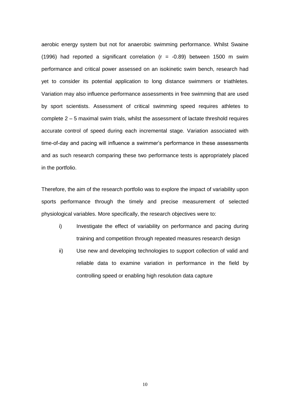aerobic energy system but not for anaerobic swimming performance. Whilst Swaine (1996) had reported a significant correlation ( $r = -0.89$ ) between 1500 m swim performance and critical power assessed on an isokinetic swim bench, research had yet to consider its potential application to long distance swimmers or triathletes. Variation may also influence performance assessments in free swimming that are used by sport scientists. Assessment of critical swimming speed requires athletes to complete 2 – 5 maximal swim trials, whilst the assessment of lactate threshold requires accurate control of speed during each incremental stage. Variation associated with time-of-day and pacing will influence a swimmer's performance in these assessments and as such research comparing these two performance tests is appropriately placed in the portfolio.

Therefore, the aim of the research portfolio was to explore the impact of variability upon sports performance through the timely and precise measurement of selected physiological variables. More specifically, the research objectives were to:

- i) Investigate the effect of variability on performance and pacing during training and competition through repeated measures research design
- ii) Use new and developing technologies to support collection of valid and reliable data to examine variation in performance in the field by controlling speed or enabling high resolution data capture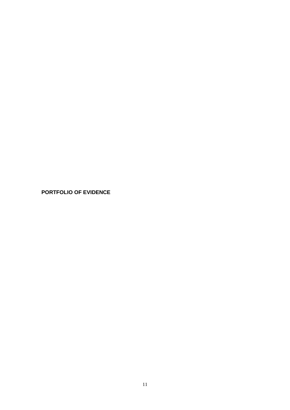**PORTFOLIO OF EVIDENCE**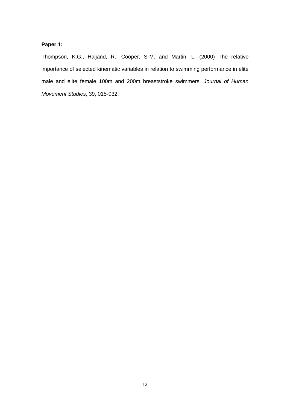### **Paper 1:**

Thompson, K.G., Haljand, R., Cooper, S-M. and Martin, L. (2000) The relative importance of selected kinematic variables in relation to swimming performance in elite male and elite female 100m and 200m breaststroke swimmers. *Journal of Human Movement Studies*, 39, 015-032.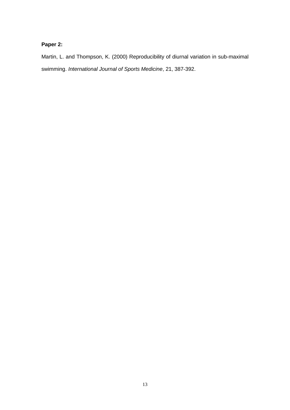# **Paper 2:**

Martin, L. and Thompson, K. (2000) Reproducibility of diurnal variation in sub-maximal swimming. *International Journal of Sports Medicine*, 21, 387-392.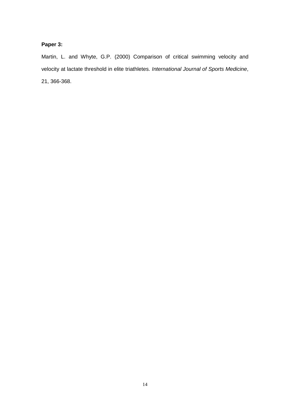# **Paper 3:**

Martin, L. and Whyte, G.P. (2000) Comparison of critical swimming velocity and velocity at lactate threshold in elite triathletes. *International Journal of Sports Medicine*, 21, 366-368.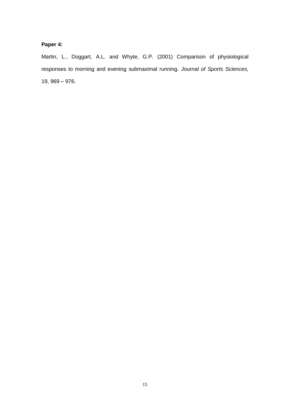# **Paper 4:**

Martin, L., Doggart, A.L. and Whyte, G.P. (2001) Comparison of physiological responses to morning and evening submaximal running. *Journal of Sports Sciences,*  19, 969 – 976.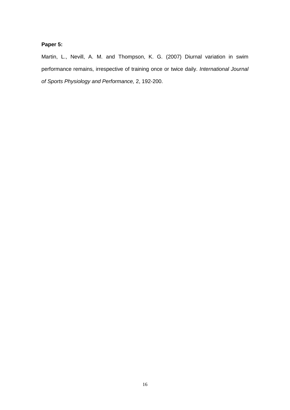# **Paper 5:**

Martin, L., Nevill, A. M. and Thompson, K. G. (2007) Diurnal variation in swim performance remains, irrespective of training once or twice daily. *International Journal of Sports Physiology and Performance,* 2, 192-200.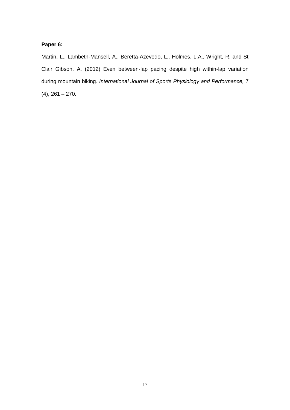## **Paper 6:**

Martin, L., Lambeth-Mansell, A., Beretta-Azevedo, L., Holmes, L.A., Wright, R. and St Clair Gibson, A. (2012) Even between-lap pacing despite high within-lap variation during mountain biking. *International Journal of Sports Physiology and Performance,* 7  $(4)$ , 261 – 270.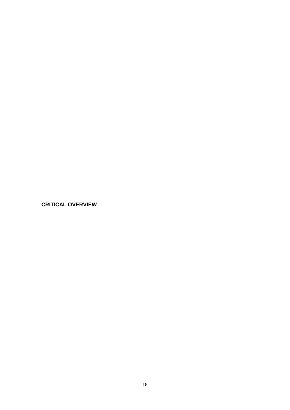**CRITICAL OVERVIEW**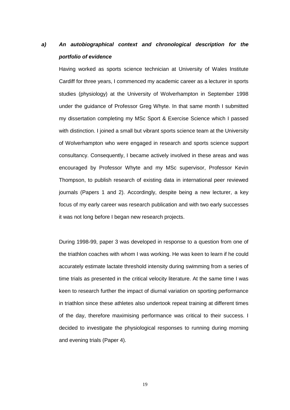# *a) An autobiographical context and chronological description for the portfolio of evidence*

Having worked as sports science technician at University of Wales Institute Cardiff for three years, I commenced my academic career as a lecturer in sports studies (physiology) at the University of Wolverhampton in September 1998 under the guidance of Professor Greg Whyte. In that same month I submitted my dissertation completing my MSc Sport & Exercise Science which I passed with distinction. I joined a small but vibrant sports science team at the University of Wolverhampton who were engaged in research and sports science support consultancy. Consequently, I became actively involved in these areas and was encouraged by Professor Whyte and my MSc supervisor, Professor Kevin Thompson, to publish research of existing data in international peer reviewed journals (Papers 1 and 2). Accordingly, despite being a new lecturer, a key focus of my early career was research publication and with two early successes it was not long before I began new research projects.

During 1998-99, paper 3 was developed in response to a question from one of the triathlon coaches with whom I was working. He was keen to learn if he could accurately estimate lactate threshold intensity during swimming from a series of time trials as presented in the critical velocity literature. At the same time I was keen to research further the impact of diurnal variation on sporting performance in triathlon since these athletes also undertook repeat training at different times of the day, therefore maximising performance was critical to their success. I decided to investigate the physiological responses to running during morning and evening trials (Paper 4).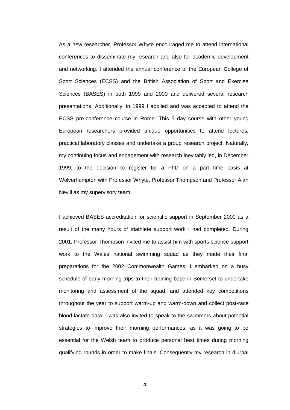As a new researcher, Professor Whyte encouraged me to attend international conferences to disseminate my research and also for academic development and networking. I attended the annual conference of the European College of Sport Sciences (ECSS) and the British Association of Sport and Exercise Sciences (BASES) in both 1999 and 2000 and delivered several research presentations. Additionally, in 1999 I applied and was accepted to attend the ECSS pre-conference course in Rome. This 5 day course with other young European researchers provided unique opportunities to attend lectures, practical laboratory classes and undertake a group research project. Naturally, my continuing focus and engagement with research inevitably led, in December 1999, to the decision to register for a PhD on a part time basis at Wolverhampton with Professor Whyte, Professor Thompson and Professor Alan Nevill as my supervisory team.

I achieved BASES accreditation for scientific support in September 2000 as a result of the many hours of triathlete support work I had completed. During 2001, Professor Thompson invited me to assist him with sports science support work to the Wales national swimming squad as they made their final preparations for the 2002 Commonwealth Games. I embarked on a busy schedule of early morning trips to their training base in Somerset to undertake monitoring and assessment of the squad, and attended key competitions throughout the year to support warm-up and warm-down and collect post-race blood lactate data. I was also invited to speak to the swimmers about potential strategies to improve their morning performances, as it was going to be essential for the Welsh team to produce personal best times during morning qualifying rounds in order to make finals. Consequently my research in diurnal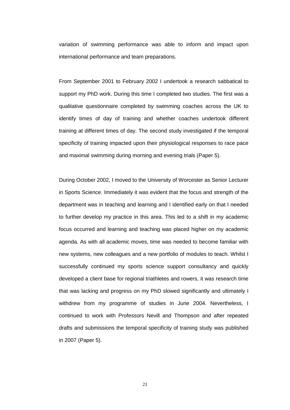variation of swimming performance was able to inform and impact upon international performance and team preparations.

From September 2001 to February 2002 I undertook a research sabbatical to support my PhD work. During this time I completed two studies. The first was a qualitative questionnaire completed by swimming coaches across the UK to identify times of day of training and whether coaches undertook different training at different times of day. The second study investigated if the temporal specificity of training impacted upon their physiological responses to race pace and maximal swimming during morning and evening trials (Paper 5).

During October 2002, I moved to the University of Worcester as Senior Lecturer in Sports Science. Immediately it was evident that the focus and strength of the department was in teaching and learning and I identified early on that I needed to further develop my practice in this area. This led to a shift in my academic focus occurred and learning and teaching was placed higher on my academic agenda. As with all academic moves, time was needed to become familiar with new systems, new colleagues and a new portfolio of modules to teach. Whilst I successfully continued my sports science support consultancy and quickly developed a client base for regional triathletes and rowers, it was research time that was lacking and progress on my PhD slowed significantly and ultimately I withdrew from my programme of studies in June 2004. Nevertheless, I continued to work with Professors Nevill and Thompson and after repeated drafts and submissions the temporal specificity of training study was published in 2007 (Paper 5).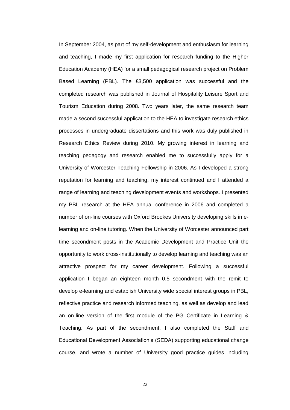In September 2004, as part of my self-development and enthusiasm for learning and teaching, I made my first application for research funding to the Higher Education Academy (HEA) for a small pedagogical research project on Problem Based Learning (PBL). The £3,500 application was successful and the completed research was published in Journal of Hospitality Leisure Sport and Tourism Education during 2008. Two years later, the same research team made a second successful application to the HEA to investigate research ethics processes in undergraduate dissertations and this work was duly published in Research Ethics Review during 2010. My growing interest in learning and teaching pedagogy and research enabled me to successfully apply for a University of Worcester Teaching Fellowship in 2006. As I developed a strong reputation for learning and teaching, my interest continued and I attended a range of learning and teaching development events and workshops. I presented my PBL research at the HEA annual conference in 2006 and completed a number of on-line courses with Oxford Brookes University developing skills in elearning and on-line tutoring. When the University of Worcester announced part time secondment posts in the Academic Development and Practice Unit the opportunity to work cross-institutionally to develop learning and teaching was an attractive prospect for my career development. Following a successful application I began an eighteen month 0.5 secondment with the remit to develop e-learning and establish University wide special interest groups in PBL, reflective practice and research informed teaching, as well as develop and lead an on-line version of the first module of the PG Certificate in Learning & Teaching. As part of the secondment, I also completed the Staff and Educational Development Association's (SEDA) supporting educational change course, and wrote a number of University good practice guides including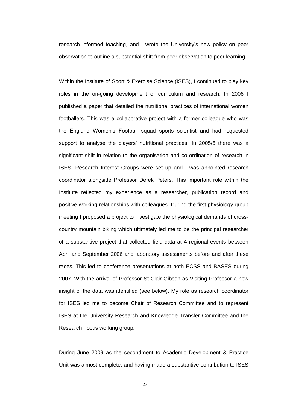research informed teaching, and I wrote the University's new policy on peer observation to outline a substantial shift from peer observation to peer learning.

Within the Institute of Sport & Exercise Science (ISES), I continued to play key roles in the on-going development of curriculum and research. In 2006 I published a paper that detailed the nutritional practices of international women footballers. This was a collaborative project with a former colleague who was the England Women's Football squad sports scientist and had requested support to analyse the players' nutritional practices. In 2005/6 there was a significant shift in relation to the organisation and co-ordination of research in ISES. Research Interest Groups were set up and I was appointed research coordinator alongside Professor Derek Peters. This important role within the Institute reflected my experience as a researcher, publication record and positive working relationships with colleagues. During the first physiology group meeting I proposed a project to investigate the physiological demands of crosscountry mountain biking which ultimately led me to be the principal researcher of a substantive project that collected field data at 4 regional events between April and September 2006 and laboratory assessments before and after these races. This led to conference presentations at both ECSS and BASES during 2007. With the arrival of Professor St Clair Gibson as Visiting Professor a new insight of the data was identified (see below). My role as research coordinator for ISES led me to become Chair of Research Committee and to represent ISES at the University Research and Knowledge Transfer Committee and the Research Focus working group.

During June 2009 as the secondment to Academic Development & Practice Unit was almost complete, and having made a substantive contribution to ISES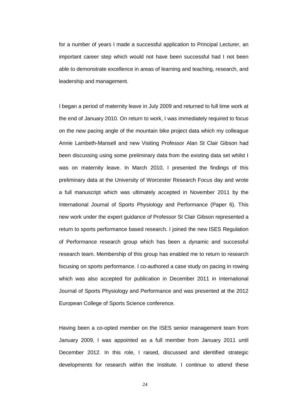for a number of years I made a successful application to Principal Lecturer, an important career step which would not have been successful had I not been able to demonstrate excellence in areas of learning and teaching, research, and leadership and management.

I began a period of maternity leave in July 2009 and returned to full time work at the end of January 2010. On return to work, I was immediately required to focus on the new pacing angle of the mountain bike project data which my colleague Annie Lambeth-Mansell and new Visiting Professor Alan St Clair Gibson had been discussing using some preliminary data from the existing data set whilst I was on maternity leave. In March 2010, I presented the findings of this preliminary data at the University of Worcester Research Focus day and wrote a full manuscript which was ultimately accepted in November 2011 by the International Journal of Sports Physiology and Performance (Paper 6). This new work under the expert guidance of Professor St Clair Gibson represented a return to sports performance based research. I joined the new ISES Regulation of Performance research group which has been a dynamic and successful research team. Membership of this group has enabled me to return to research focusing on sports performance. I co-authored a case study on pacing in rowing which was also accepted for publication in December 2011 in International Journal of Sports Physiology and Performance and was presented at the 2012 European College of Sports Science conference.

Having been a co-opted member on the ISES senior management team from January 2009, I was appointed as a full member from January 2011 until December 2012. In this role, I raised, discussed and identified strategic developments for research within the Institute. I continue to attend these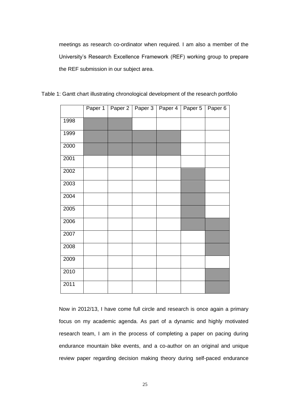meetings as research co-ordinator when required. I am also a member of the University's Research Excellence Framework (REF) working group to prepare the REF submission in our subject area.

|      | Paper 1 | Paper 2 | Paper 3 | Paper 4 | Paper 5 | Paper 6 |
|------|---------|---------|---------|---------|---------|---------|
| 1998 |         |         |         |         |         |         |
| 1999 |         |         |         |         |         |         |
| 2000 |         |         |         |         |         |         |
| 2001 |         |         |         |         |         |         |
| 2002 |         |         |         |         |         |         |
| 2003 |         |         |         |         |         |         |
| 2004 |         |         |         |         |         |         |
| 2005 |         |         |         |         |         |         |
| 2006 |         |         |         |         |         |         |
| 2007 |         |         |         |         |         |         |
| 2008 |         |         |         |         |         |         |
| 2009 |         |         |         |         |         |         |
| 2010 |         |         |         |         |         |         |
| 2011 |         |         |         |         |         |         |

Table 1: Gantt chart illustrating chronological development of the research portfolio

Now in 2012/13, I have come full circle and research is once again a primary focus on my academic agenda. As part of a dynamic and highly motivated research team, I am in the process of completing a paper on pacing during endurance mountain bike events, and a co-author on an original and unique review paper regarding decision making theory during self-paced endurance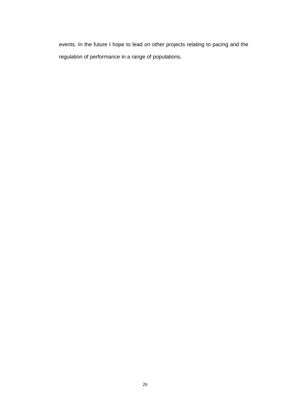events. In the future I hope to lead on other projects relating to pacing and the regulation of performance in a range of populations.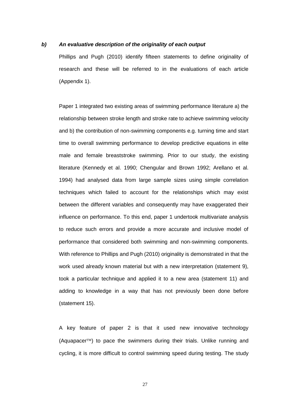### *b) An evaluative description of the originality of each output*

Phillips and Pugh (2010) identify fifteen statements to define originality of research and these will be referred to in the evaluations of each article (Appendix 1).

Paper 1 integrated two existing areas of swimming performance literature a) the relationship between stroke length and stroke rate to achieve swimming velocity and b) the contribution of non-swimming components e.g. turning time and start time to overall swimming performance to develop predictive equations in elite male and female breaststroke swimming. Prior to our study, the existing literature (Kennedy et al. 1990; Chengular and Brown 1992; Arellano et al. 1994) had analysed data from large sample sizes using simple correlation techniques which failed to account for the relationships which may exist between the different variables and consequently may have exaggerated their influence on performance. To this end, paper 1 undertook multivariate analysis to reduce such errors and provide a more accurate and inclusive model of performance that considered both swimming and non-swimming components. With reference to Phillips and Pugh (2010) originality is demonstrated in that the work used already known material but with a new interpretation (statement 9), took a particular technique and applied it to a new area (statement 11) and adding to knowledge in a way that has not previously been done before (statement 15).

A key feature of paper 2 is that it used new innovative technology (Aquapacer $TM$ ) to pace the swimmers during their trials. Unlike running and cycling, it is more difficult to control swimming speed during testing. The study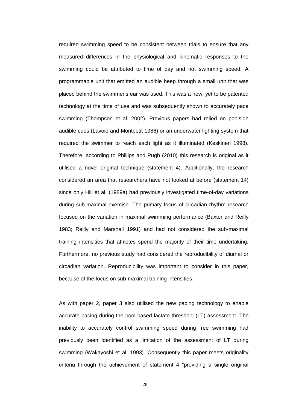required swimming speed to be consistent between trials to ensure that any measured differences in the physiological and kinematic responses to the swimming could be attributed to time of day and not swimming speed. A programmable unit that emitted an audible beep through a small unit that was placed behind the swimmer's ear was used. This was a new, yet to be patented technology at the time of use and was subsequently shown to accurately pace swimming (Thompson et al. 2002). Previous papers had relied on poolside audible cues (Lavoie and Montpetit 1986) or an underwater lighting system that required the swimmer to reach each light as it illuminated (Keskinen 1998). Therefore, according to Phillips and Pugh (2010) this research is original as it utilised a novel original technique (statement 4). Additionally, the research considered an area that researchers have not looked at before (statement 14) since only Hill et al. (1989a) had previously investigated time-of-day variations during sub-maximal exercise. The primary focus of circadian rhythm research focused on the variation in maximal swimming performance (Baxter and Reilly 1983; Reilly and Marshall 1991) and had not considered the sub-maximal training intensities that athletes spend the majority of their time undertaking. Furthermore, no previous study had considered the reproducibility of diurnal or circadian variation. Reproducibility was important to consider in this paper, because of the focus on sub-maximal training intensities.

As with paper 2, paper 3 also utilised the new pacing technology to enable accurate pacing during the pool based lactate threshold (LT) assessment. The inability to accurately control swimming speed during free swimming had previously been identified as a limitation of the assessment of LT during swimming (Wakayoshi et al. 1993). Consequently this paper meets originality criteria through the achievement of statement 4 "providing a single original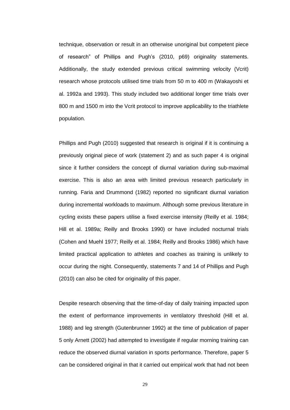technique, observation or result in an otherwise unoriginal but competent piece of research" of Phillips and Pugh's (2010, p69) originality statements. Additionally, the study extended previous critical swimming velocity (Vcrit) research whose protocols utilised time trials from 50 m to 400 m (Wakayoshi et al. 1992a and 1993). This study included two additional longer time trials over 800 m and 1500 m into the Vcrit protocol to improve applicability to the triathlete population.

Phillips and Pugh (2010) suggested that research is original if it is continuing a previously original piece of work (statement 2) and as such paper 4 is original since it further considers the concept of diurnal variation during sub-maximal exercise. This is also an area with limited previous research particularly in running. Faria and Drummond (1982) reported no significant diurnal variation during incremental workloads to maximum. Although some previous literature in cycling exists these papers utilise a fixed exercise intensity (Reilly et al. 1984; Hill et al. 1989a; Reilly and Brooks 1990) or have included nocturnal trials (Cohen and Muehl 1977; Reilly et al. 1984; Reilly and Brooks 1986) which have limited practical application to athletes and coaches as training is unlikely to occur during the night. Consequently, statements 7 and 14 of Phillips and Pugh (2010) can also be cited for originality of this paper.

Despite research observing that the time-of-day of daily training impacted upon the extent of performance improvements in ventilatory threshold (Hill et al. 1988) and leg strength (Gutenbrunner 1992) at the time of publication of paper 5 only Arnett (2002) had attempted to investigate if regular morning training can reduce the observed diurnal variation in sports performance. Therefore, paper 5 can be considered original in that it carried out empirical work that had not been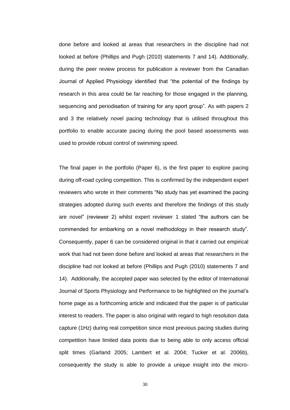done before and looked at areas that researchers in the discipline had not looked at before (Phillips and Pugh (2010) statements 7 and 14). Additionally, during the peer review process for publication a reviewer from the Canadian Journal of Applied Physiology identified that "the potential of the findings by research in this area could be far reaching for those engaged in the planning, sequencing and periodisation of training for any sport group". As with papers 2 and 3 the relatively novel pacing technology that is utilised throughout this portfolio to enable accurate pacing during the pool based assessments was used to provide robust control of swimming speed.

The final paper in the portfolio (Paper 6), is the first paper to explore pacing during off-road cycling competition. This is confirmed by the independent expert reviewers who wrote in their comments "No study has yet examined the pacing strategies adopted during such events and therefore the findings of this study are novel" (reviewer 2) whilst expert reviewer 1 stated "the authors can be commended for embarking on a novel methodology in their research study". Consequently, paper 6 can be considered original in that it carried out empirical work that had not been done before and looked at areas that researchers in the discipline had not looked at before (Phillips and Pugh (2010) statements 7 and 14). Additionally, the accepted paper was selected by the editor of International Journal of Sports Physiology and Performance to be highlighted on the journal's home page as a forthcoming article and indicated that the paper is of particular interest to readers. The paper is also original with regard to high resolution data capture (1Hz) during real competition since most previous pacing studies during competition have limited data points due to being able to only access official split times (Garland 2005; Lambert et al. 2004; Tucker et al. 2006b), consequently the study is able to provide a unique insight into the micro-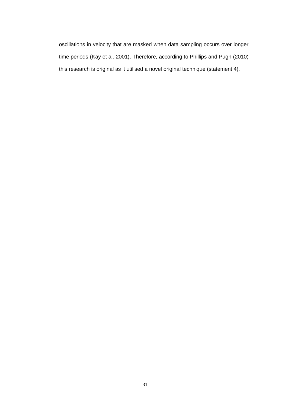oscillations in velocity that are masked when data sampling occurs over longer time periods (Kay et al. 2001). Therefore, according to Phillips and Pugh (2010) this research is original as it utilised a novel original technique (statement 4).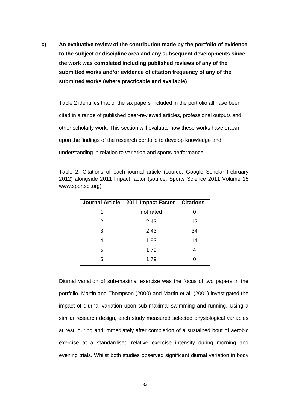**c) An evaluative review of the contribution made by the portfolio of evidence to the subject or discipline area and any subsequent developments since the work was completed including published reviews of any of the submitted works and/or evidence of citation frequency of any of the submitted works (where practicable and available)**

Table 2 identifies that of the six papers included in the portfolio all have been cited in a range of published peer-reviewed articles, professional outputs and other scholarly work. This section will evaluate how these works have drawn upon the findings of the research portfolio to develop knowledge and understanding in relation to variation and sports performance.

Table 2: Citations of each journal article (source: Google Scholar February 2012) alongside 2011 Impact factor (source: Sports Science 2011 Volume 15 www.sportsci.org)

| <b>Journal Article</b> | 2011 Impact Factor | <b>Citations</b> |
|------------------------|--------------------|------------------|
|                        | not rated          |                  |
| 2                      | 2.43               | 12               |
| 3                      | 2.43               | 34               |
|                        | 1.93               | 14               |
| 5                      | 1.79               |                  |
|                        | 1.79               |                  |

Diurnal variation of sub-maximal exercise was the focus of two papers in the portfolio. Martin and Thompson (2000) and Martin et al. (2001) investigated the impact of diurnal variation upon sub-maximal swimming and running. Using a similar research design, each study measured selected physiological variables at rest, during and immediately after completion of a sustained bout of aerobic exercise at a standardised relative exercise intensity during morning and evening trials. Whilst both studies observed significant diurnal variation in body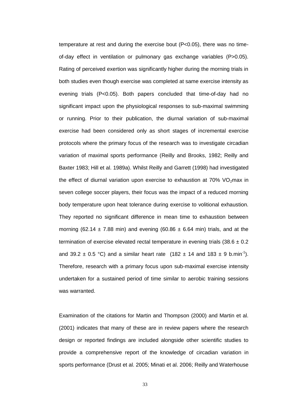temperature at rest and during the exercise bout (P<0.05), there was no timeof-day effect in ventilation or pulmonary gas exchange variables (P>0.05). Rating of perceived exertion was significantly higher during the morning trials in both studies even though exercise was completed at same exercise intensity as evening trials (P<0.05). Both papers concluded that time-of-day had no significant impact upon the physiological responses to sub-maximal swimming or running. Prior to their publication, the diurnal variation of sub-maximal exercise had been considered only as short stages of incremental exercise protocols where the primary focus of the research was to investigate circadian variation of maximal sports performance (Reilly and Brooks, 1982; Reilly and Baxter 1983; Hill et al. 1989a). Whilst Reilly and Garrett (1998) had investigated the effect of diurnal variation upon exercise to exhaustion at  $70\%$  VO<sub>2</sub>max in seven college soccer players, their focus was the impact of a reduced morning body temperature upon heat tolerance during exercise to volitional exhaustion. They reported no significant difference in mean time to exhaustion between morning (62.14  $\pm$  7.88 min) and evening (60.86  $\pm$  6.64 min) trials, and at the termination of exercise elevated rectal temperature in evening trials  $(38.6 \pm 0.2)$ and 39.2  $\pm$  0.5 °C) and a similar heart rate (182  $\pm$  14 and 183  $\pm$  9 b.min<sup>-1</sup>). Therefore, research with a primary focus upon sub-maximal exercise intensity undertaken for a sustained period of time similar to aerobic training sessions was warranted.

Examination of the citations for Martin and Thompson (2000) and Martin et al. (2001) indicates that many of these are in review papers where the research design or reported findings are included alongside other scientific studies to provide a comprehensive report of the knowledge of circadian variation in sports performance (Drust et al. 2005; Minati et al. 2006; Reilly and Waterhouse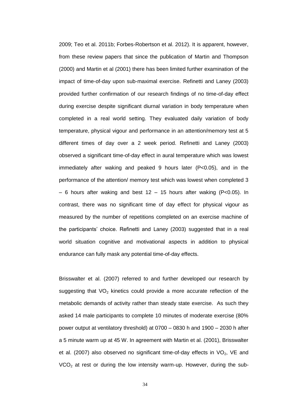2009; Teo et al. 2011b; Forbes-Robertson et al. 2012). It is apparent, however, from these review papers that since the publication of Martin and Thompson (2000) and Martin et al (2001) there has been limited further examination of the impact of time-of-day upon sub-maximal exercise. Refinetti and Laney (2003) provided further confirmation of our research findings of no time-of-day effect during exercise despite significant diurnal variation in body temperature when completed in a real world setting. They evaluated daily variation of body temperature, physical vigour and performance in an attention/memory test at 5 different times of day over a 2 week period. Refinetti and Laney (2003) observed a significant time-of-day effect in aural temperature which was lowest immediately after waking and peaked 9 hours later (P<0.05), and in the performance of the attention/ memory test which was lowest when completed 3 – 6 hours after waking and best 12 – 15 hours after waking (P<0.05). In contrast, there was no significant time of day effect for physical vigour as measured by the number of repetitions completed on an exercise machine of the participants' choice. Refinetti and Laney (2003) suggested that in a real world situation cognitive and motivational aspects in addition to physical endurance can fully mask any potential time-of-day effects.

Brisswalter et al. (2007) referred to and further developed our research by suggesting that  $VO<sub>2</sub>$  kinetics could provide a more accurate reflection of the metabolic demands of activity rather than steady state exercise. As such they asked 14 male participants to complete 10 minutes of moderate exercise (80% power output at ventilatory threshold) at 0700 – 0830 h and 1900 – 2030 h after a 5 minute warm up at 45 W. In agreement with Martin et al. (2001), Brisswalter et al. (2007) also observed no significant time-of-day effects in  $VO<sub>2</sub>$ , VE and  $VCO<sub>2</sub>$  at rest or during the low intensity warm-up. However, during the sub-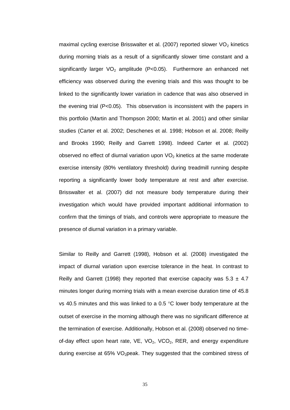maximal cycling exercise Brisswalter et al. (2007) reported slower  $VO<sub>2</sub>$  kinetics during morning trials as a result of a significantly slower time constant and a significantly larger  $VO<sub>2</sub>$  amplitude (P<0.05). Furthermore an enhanced net efficiency was observed during the evening trials and this was thought to be linked to the significantly lower variation in cadence that was also observed in the evening trial (P<0.05). This observation is inconsistent with the papers in this portfolio (Martin and Thompson 2000; Martin et al. 2001) and other similar studies (Carter et al. 2002; Deschenes et al. 1998; Hobson et al. 2008; Reilly and Brooks 1990; Reilly and Garrett 1998). Indeed Carter et al. (2002) observed no effect of diurnal variation upon  $VO<sub>2</sub>$  kinetics at the same moderate exercise intensity (80% ventilatory threshold) during treadmill running despite reporting a significantly lower body temperature at rest and after exercise. Brisswalter et al. (2007) did not measure body temperature during their investigation which would have provided important additional information to confirm that the timings of trials, and controls were appropriate to measure the presence of diurnal variation in a primary variable.

Similar to Reilly and Garrett (1998), Hobson et al. (2008) investigated the impact of diurnal variation upon exercise tolerance in the heat. In contrast to Reilly and Garrett (1998) they reported that exercise capacity was  $5.3 \pm 4.7$ minutes longer during morning trials with a mean exercise duration time of 45.8 vs 40.5 minutes and this was linked to a 0.5  $\degree$ C lower body temperature at the outset of exercise in the morning although there was no significant difference at the termination of exercise. Additionally, Hobson et al. (2008) observed no timeof-day effect upon heart rate,  $VE$ ,  $VO<sub>2</sub>$ ,  $VCO<sub>2</sub>$ , RER, and energy expenditure during exercise at 65% VO<sub>2</sub>peak. They suggested that the combined stress of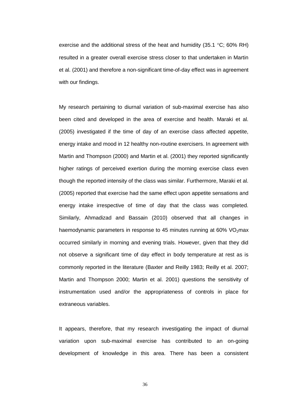exercise and the additional stress of the heat and humidity (35.1  $\degree$ C; 60% RH) resulted in a greater overall exercise stress closer to that undertaken in Martin et al. (2001) and therefore a non-significant time-of-day effect was in agreement with our findings.

My research pertaining to diurnal variation of sub-maximal exercise has also been cited and developed in the area of exercise and health. Maraki et al. (2005) investigated if the time of day of an exercise class affected appetite, energy intake and mood in 12 healthy non-routine exercisers. In agreement with Martin and Thompson (2000) and Martin et al. (2001) they reported significantly higher ratings of perceived exertion during the morning exercise class even though the reported intensity of the class was similar. Furthermore, Maraki et al. (2005) reported that exercise had the same effect upon appetite sensations and energy intake irrespective of time of day that the class was completed. Similarly, Ahmadizad and Bassain (2010) observed that all changes in haemodynamic parameters in response to 45 minutes running at 60%  $VO<sub>2</sub>$ max occurred similarly in morning and evening trials. However, given that they did not observe a significant time of day effect in body temperature at rest as is commonly reported in the literature (Baxter and Reilly 1983; Reilly et al. 2007; Martin and Thompson 2000; Martin et al. 2001) questions the sensitivity of instrumentation used and/or the appropriateness of controls in place for extraneous variables.

It appears, therefore, that my research investigating the impact of diurnal variation upon sub-maximal exercise has contributed to an on-going development of knowledge in this area. There has been a consistent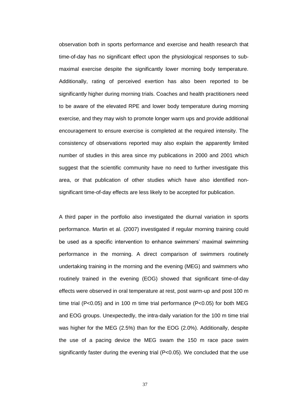observation both in sports performance and exercise and health research that time-of-day has no significant effect upon the physiological responses to submaximal exercise despite the significantly lower morning body temperature. Additionally, rating of perceived exertion has also been reported to be significantly higher during morning trials. Coaches and health practitioners need to be aware of the elevated RPE and lower body temperature during morning exercise, and they may wish to promote longer warm ups and provide additional encouragement to ensure exercise is completed at the required intensity. The consistency of observations reported may also explain the apparently limited number of studies in this area since my publications in 2000 and 2001 which suggest that the scientific community have no need to further investigate this area, or that publication of other studies which have also identified nonsignificant time-of-day effects are less likely to be accepted for publication.

A third paper in the portfolio also investigated the diurnal variation in sports performance. Martin et al. (2007) investigated if regular morning training could be used as a specific intervention to enhance swimmers' maximal swimming performance in the morning. A direct comparison of swimmers routinely undertaking training in the morning and the evening (MEG) and swimmers who routinely trained in the evening (EOG) showed that significant time-of-day effects were observed in oral temperature at rest, post warm-up and post 100 m time trial (P<0.05) and in 100 m time trial performance (P<0.05) for both MEG and EOG groups. Unexpectedly, the intra-daily variation for the 100 m time trial was higher for the MEG (2.5%) than for the EOG (2.0%). Additionally, despite the use of a pacing device the MEG swam the 150 m race pace swim significantly faster during the evening trial  $(P<0.05)$ . We concluded that the use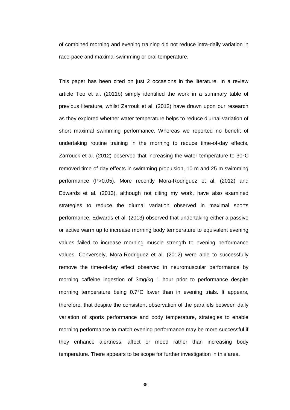of combined morning and evening training did not reduce intra-daily variation in race-pace and maximal swimming or oral temperature.

This paper has been cited on just 2 occasions in the literature. In a review article Teo et al. (2011b) simply identified the work in a summary table of previous literature, whilst Zarrouk et al. (2012) have drawn upon our research as they explored whether water temperature helps to reduce diurnal variation of short maximal swimming performance. Whereas we reported no benefit of undertaking routine training in the morning to reduce time-of-day effects, Zarrouck et al. (2012) observed that increasing the water temperature to  $30^{\circ}$ C removed time-of-day effects in swimming propulsion, 10 m and 25 m swimming performance (P>0.05). More recently Mora-Rodriguez et al. (2012) and Edwards et al. (2013), although not citing my work, have also examined strategies to reduce the diurnal variation observed in maximal sports performance. Edwards et al. (2013) observed that undertaking either a passive or active warm up to increase morning body temperature to equivalent evening values failed to increase morning muscle strength to evening performance values. Conversely, Mora-Rodriguez et al. (2012) were able to successfully remove the time-of-day effect observed in neuromuscular performance by morning caffeine ingestion of 3mg/kg 1 hour prior to performance despite morning temperature being  $0.7^{\circ}$ C lower than in evening trials. It appears, therefore, that despite the consistent observation of the parallels between daily variation of sports performance and body temperature, strategies to enable morning performance to match evening performance may be more successful if they enhance alertness, affect or mood rather than increasing body temperature. There appears to be scope for further investigation in this area.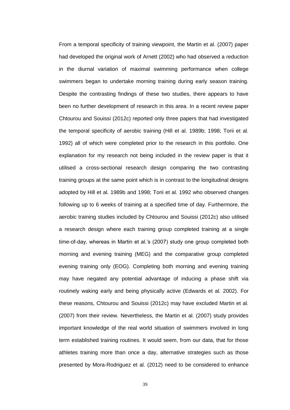From a temporal specificity of training viewpoint, the Martin et al. (2007) paper had developed the original work of Arnett (2002) who had observed a reduction in the diurnal variation of maximal swimming performance when college swimmers began to undertake morning training during early season training. Despite the contrasting findings of these two studies, there appears to have been no further development of research in this area. In a recent review paper Chtourou and Souissi (2012c) reported only three papers that had investigated the temporal specificity of aerobic training (Hill et al. 1989b; 1998; Torii et al. 1992) all of which were completed prior to the research in this portfolio. One explanation for my research not being included in the review paper is that it utilised a cross-sectional research design comparing the two contrasting training groups at the same point which is in contrast to the longitudinal designs adopted by Hill et al. 1989b and 1998; Torii et al. 1992 who observed changes following up to 6 weeks of training at a specified time of day. Furthermore, the aerobic training studies included by Chtourou and Souissi (2012c) also utilised a research design where each training group completed training at a single time-of-day, whereas in Martin et al.'s (2007) study one group completed both morning and evening training (MEG) and the comparative group completed evening training only (EOG). Completing both morning and evening training may have negated any potential advantage of inducing a phase shift via routinely waking early and being physically active (Edwards et al. 2002). For these reasons, Chtourou and Souissi (2012c) may have excluded Martin et al. (2007) from their review. Nevertheless, the Martin et al. (2007) study provides important knowledge of the real world situation of swimmers involved in long term established training routines. It would seem, from our data, that for those athletes training more than once a day, alternative strategies such as those presented by Mora-Rodriguez et al. (2012) need to be considered to enhance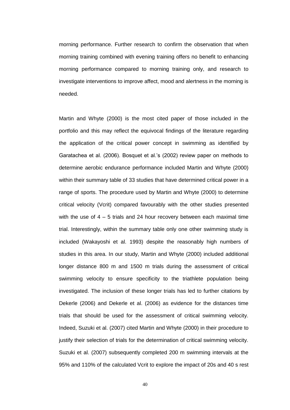morning performance. Further research to confirm the observation that when morning training combined with evening training offers no benefit to enhancing morning performance compared to morning training only, and research to investigate interventions to improve affect, mood and alertness in the morning is needed.

Martin and Whyte (2000) is the most cited paper of those included in the portfolio and this may reflect the equivocal findings of the literature regarding the application of the critical power concept in swimming as identified by Garatachea et al. (2006). Bosquet et al.'s (2002) review paper on methods to determine aerobic endurance performance included Martin and Whyte (2000) within their summary table of 33 studies that have determined critical power in a range of sports. The procedure used by Martin and Whyte (2000) to determine critical velocity (Vcrit) compared favourably with the other studies presented with the use of 4 – 5 trials and 24 hour recovery between each maximal time trial. Interestingly, within the summary table only one other swimming study is included (Wakayoshi et al. 1993) despite the reasonably high numbers of studies in this area. In our study, Martin and Whyte (2000) included additional longer distance 800 m and 1500 m trials during the assessment of critical swimming velocity to ensure specificity to the triathlete population being investigated. The inclusion of these longer trials has led to further citations by Dekerle (2006) and Dekerle et al. (2006) as evidence for the distances time trials that should be used for the assessment of critical swimming velocity. Indeed, Suzuki et al. (2007) cited Martin and Whyte (2000) in their procedure to justify their selection of trials for the determination of critical swimming velocity. Suzuki et al. (2007) subsequently completed 200 m swimming intervals at the 95% and 110% of the calculated Vcrit to explore the impact of 20s and 40 s rest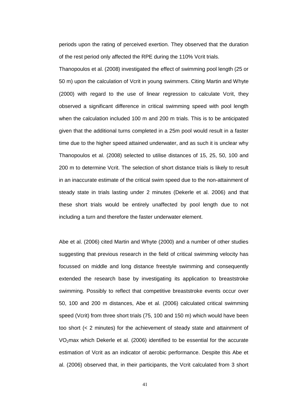periods upon the rating of perceived exertion. They observed that the duration of the rest period only affected the RPE during the 110% Vcrit trials.

Thanopoulos et al. (2008) investigated the effect of swimming pool length (25 or 50 m) upon the calculation of Vcrit in young swimmers. Citing Martin and Whyte (2000) with regard to the use of linear regression to calculate Vcrit, they observed a significant difference in critical swimming speed with pool length when the calculation included 100 m and 200 m trials. This is to be anticipated given that the additional turns completed in a 25m pool would result in a faster time due to the higher speed attained underwater, and as such it is unclear why Thanopoulos et al. (2008) selected to utilise distances of 15, 25, 50, 100 and 200 m to determine Vcrit. The selection of short distance trials is likely to result in an inaccurate estimate of the critical swim speed due to the non-attainment of steady state in trials lasting under 2 minutes (Dekerle et al. 2006) and that these short trials would be entirely unaffected by pool length due to not including a turn and therefore the faster underwater element.

Abe et al. (2006) cited Martin and Whyte (2000) and a number of other studies suggesting that previous research in the field of critical swimming velocity has focussed on middle and long distance freestyle swimming and consequently extended the research base by investigating its application to breaststroke swimming. Possibly to reflect that competitive breaststroke events occur over 50, 100 and 200 m distances, Abe et al. (2006) calculated critical swimming speed (Vcrit) from three short trials (75, 100 and 150 m) which would have been too short (< 2 minutes) for the achievement of steady state and attainment of VO2max which Dekerle et al. (2006) identified to be essential for the accurate estimation of Vcrit as an indicator of aerobic performance. Despite this Abe et al. (2006) observed that, in their participants, the Vcrit calculated from 3 short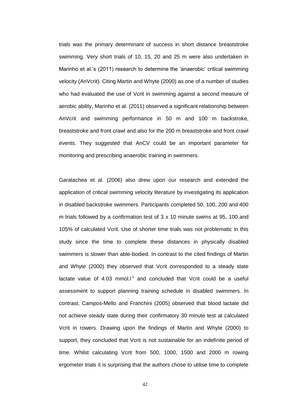trials was the primary determinant of success in short distance breaststroke swimming. Very short trials of 10, 15, 20 and 25 m were also undertaken in Marinho et al.'s (2011) research to determine the 'anaerobic' critical swimming velocity (AnVcrit). Citing Martin and Whyte (2000) as one of a number of studies who had evaluated the use of Vcrit in swimming against a second measure of aerobic ability, Marinho et al. (2011) observed a significant relationship between AnVcrit and swimming performance in 50 m and 100 m backstroke, breaststroke and front crawl and also for the 200 m breaststroke and front crawl events. They suggested that AnCV could be an important parameter for monitoring and prescribing anaerobic training in swimmers.

Garatachea et al. (2006) also drew upon our research and extended the application of critical swimming velocity literature by investigating its application in disabled backstroke swimmers. Participants completed 50, 100, 200 and 400 m trials followed by a confirmation test of 3 x 10 minute swims at 95, 100 and 105% of calculated Vcrit. Use of shorter time trials was not problematic in this study since the time to complete these distances in physically disabled swimmers is slower than able-bodied. In contrast to the cited findings of Martin and Whyte (2000) they observed that Vcrit corresponded to a steady state lactate value of  $4.03$  mmol. $I<sup>1</sup>$  and concluded that Vcrit could be a useful assessment to support planning training schedule in disabled swimmers. In contrast, Campos-Mello and Franchini (2005) observed that blood lactate did not achieve steady state during their confirmatory 30 minute test at calculated Vcrit in rowers. Drawing upon the findings of Martin and Whyte (2000) to support, they concluded that Vcrit is not sustainable for an indefinite period of time. Whilst calculating Vcrit from 500, 1000, 1500 and 2000 m rowing ergometer trials it is surprising that the authors chose to utilise time to complete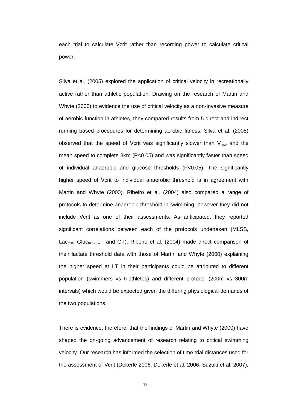each trial to calculate Vcrit rather than recording power to calculate critical power.

Silva et al. (2005) explored the application of critical velocity in recreationally active rather than athletic population. Drawing on the research of Martin and Whyte (2000) to evidence the use of critical velocity as a non-invasive measure of aerobic function in athletes, they compared results from 5 direct and indirect running based procedures for determining aerobic fitness. Silva et al. (2005) observed that the speed of Vcrit was significantly slower than  $V_{max}$  and the mean speed to complete 3km (P<0.05) and was significantly faster than speed of individual anaerobic and glucose thresholds (P<0.05). The significantly higher speed of Vcrit to individual anaerobic threshold is in agreement with Martin and Whyte (2000). Ribeiro et al. (2004) also compared a range of protocols to determine anaerobic threshold in swimming, however they did not include Vcrit as one of their assessments. As anticipated, they reported significant correlations between each of the protocols undertaken (MLSS, Lac<sub>min</sub>, Gluc<sub>min</sub>, LT and GT). Ribeiro et al. (2004) made direct comparison of their lactate threshold data with those of Martin and Whyte (2000) explaining the higher speed at LT in their participants could be attributed to different population (swimmers vs triathletes) and different protocol (200m vs 300m intervals) which would be expected given the differing physiological demands of the two populations.

There is evidence, therefore, that the findings of Martin and Whyte (2000) have shaped the on-going advancement of research relating to critical swimming velocity. Our research has informed the selection of time trial distances used for the assessment of Vcrit (Dekerle 2006; Dekerle et al. 2006; Suzuki et al. 2007),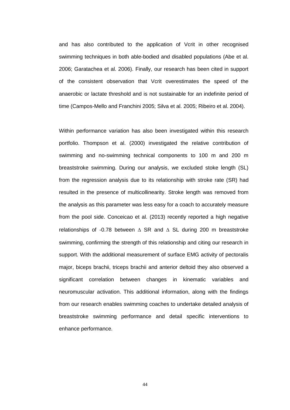and has also contributed to the application of Vcrit in other recognised swimming techniques in both able-bodied and disabled populations (Abe et al. 2006; Garatachea et al. 2006). Finally, our research has been cited in support of the consistent observation that Vcrit overestimates the speed of the anaerobic or lactate threshold and is not sustainable for an indefinite period of time (Campos-Mello and Franchini 2005; Silva et al. 2005; Ribeiro et al. 2004).

Within performance variation has also been investigated within this research portfolio. Thompson et al. (2000) investigated the relative contribution of swimming and no-swimming technical components to 100 m and 200 m breaststroke swimming. During our analysis, we excluded stoke length (SL) from the regression analysis due to its relationship with stroke rate (SR) had resulted in the presence of multicollinearity. Stroke length was removed from the analysis as this parameter was less easy for a coach to accurately measure from the pool side. Conceicao et al. (2013) recently reported a high negative relationships of -0.78 between  $\triangle$  SR and  $\triangle$  SL during 200 m breaststroke swimming, confirming the strength of this relationship and citing our research in support. With the additional measurement of surface EMG activity of pectoralis major, biceps brachii, triceps brachii and anterior deltoid they also observed a significant correlation between changes in kinematic variables and neuromuscular activation. This additional information, along with the findings from our research enables swimming coaches to undertake detailed analysis of breaststroke swimming performance and detail specific interventions to enhance performance.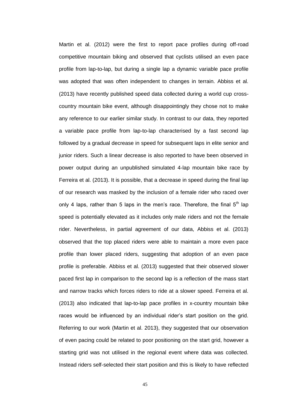Martin et al. (2012) were the first to report pace profiles during off-road competitive mountain biking and observed that cyclists utilised an even pace profile from lap-to-lap, but during a single lap a dynamic variable pace profile was adopted that was often independent to changes in terrain. Abbiss et al. (2013) have recently published speed data collected during a world cup crosscountry mountain bike event, although disappointingly they chose not to make any reference to our earlier similar study. In contrast to our data, they reported a variable pace profile from lap-to-lap characterised by a fast second lap followed by a gradual decrease in speed for subsequent laps in elite senior and junior riders. Such a linear decrease is also reported to have been observed in power output during an unpublished simulated 4-lap mountain bike race by Ferreira et al. (2013). It is possible, that a decrease in speed during the final lap of our research was masked by the inclusion of a female rider who raced over only 4 laps, rather than 5 laps in the men's race. Therefore, the final  $5<sup>th</sup>$  lap speed is potentially elevated as it includes only male riders and not the female rider. Nevertheless, in partial agreement of our data, Abbiss et al. (2013) observed that the top placed riders were able to maintain a more even pace profile than lower placed riders, suggesting that adoption of an even pace profile is preferable. Abbiss et al. (2013) suggested that their observed slower paced first lap in comparison to the second lap is a reflection of the mass start and narrow tracks which forces riders to ride at a slower speed. Ferreira et al. (2013) also indicated that lap-to-lap pace profiles in x-country mountain bike races would be influenced by an individual rider's start position on the grid. Referring to our work (Martin et al. 2013), they suggested that our observation of even pacing could be related to poor positioning on the start grid, however a starting grid was not utilised in the regional event where data was collected. Instead riders self-selected their start position and this is likely to have reflected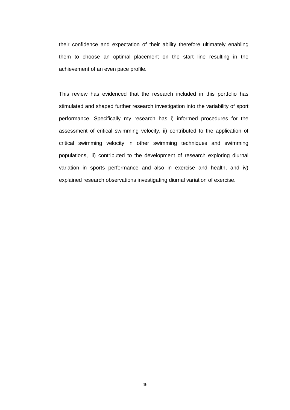their confidence and expectation of their ability therefore ultimately enabling them to choose an optimal placement on the start line resulting in the achievement of an even pace profile.

This review has evidenced that the research included in this portfolio has stimulated and shaped further research investigation into the variability of sport performance. Specifically my research has i) informed procedures for the assessment of critical swimming velocity, ii) contributed to the application of critical swimming velocity in other swimming techniques and swimming populations, iii) contributed to the development of research exploring diurnal variation in sports performance and also in exercise and health, and iv) explained research observations investigating diurnal variation of exercise.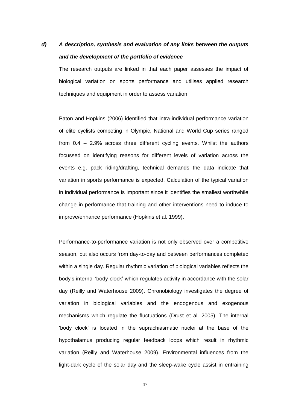# *d) A description, synthesis and evaluation of any links between the outputs and the development of the portfolio of evidence*

The research outputs are linked in that each paper assesses the impact of biological variation on sports performance and utilises applied research techniques and equipment in order to assess variation.

Paton and Hopkins (2006) identified that intra-individual performance variation of elite cyclists competing in Olympic, National and World Cup series ranged from 0.4 – 2.9% across three different cycling events. Whilst the authors focussed on identifying reasons for different levels of variation across the events e.g. pack riding/drafting, technical demands the data indicate that variation in sports performance is expected. Calculation of the typical variation in individual performance is important since it identifies the smallest worthwhile change in performance that training and other interventions need to induce to improve/enhance performance (Hopkins et al. 1999).

Performance-to-performance variation is not only observed over a competitive season, but also occurs from day-to-day and between performances completed within a single day. Regular rhythmic variation of biological variables reflects the body's internal 'body-clock' which regulates activity in accordance with the solar day (Reilly and Waterhouse 2009). Chronobiology investigates the degree of variation in biological variables and the endogenous and exogenous mechanisms which regulate the fluctuations (Drust et al. 2005). The internal 'body clock' is located in the suprachiasmatic nuclei at the base of the hypothalamus producing regular feedback loops which result in rhythmic variation (Reilly and Waterhouse 2009). Environmental influences from the light-dark cycle of the solar day and the sleep-wake cycle assist in entraining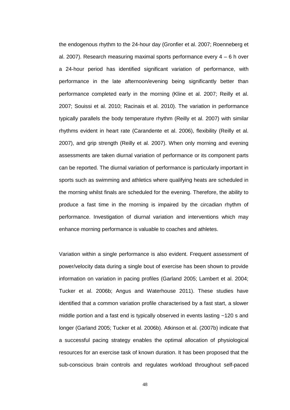the endogenous rhythm to the 24-hour day (Gronfier et al. 2007; Roenneberg et al. 2007). Research measuring maximal sports performance every 4 – 6 h over a 24-hour period has identified significant variation of performance, with performance in the late afternoon/evening being significantly better than performance completed early in the morning (Kline et al. 2007; Reilly et al. 2007; Souissi et al. 2010; Racinais et al. 2010). The variation in performance typically parallels the body temperature rhythm (Reilly et al. 2007) with similar rhythms evident in heart rate (Carandente et al. 2006), flexibility (Reilly et al. 2007), and grip strength (Reilly et al. 2007). When only morning and evening assessments are taken diurnal variation of performance or its component parts can be reported. The diurnal variation of performance is particularly important in sports such as swimming and athletics where qualifying heats are scheduled in the morning whilst finals are scheduled for the evening. Therefore, the ability to produce a fast time in the morning is impaired by the circadian rhythm of performance. Investigation of diurnal variation and interventions which may enhance morning performance is valuable to coaches and athletes.

Variation within a single performance is also evident. Frequent assessment of power/velocity data during a single bout of exercise has been shown to provide information on variation in pacing profiles (Garland 2005; Lambert et al. 2004; Tucker et al. 2006b; Angus and Waterhouse 2011). These studies have identified that a common variation profile characterised by a fast start, a slower middle portion and a fast end is typically observed in events lasting ~120 s and longer (Garland 2005; Tucker et al. 2006b). Atkinson et al. (2007b) indicate that a successful pacing strategy enables the optimal allocation of physiological resources for an exercise task of known duration. It has been proposed that the sub-conscious brain controls and regulates workload throughout self-paced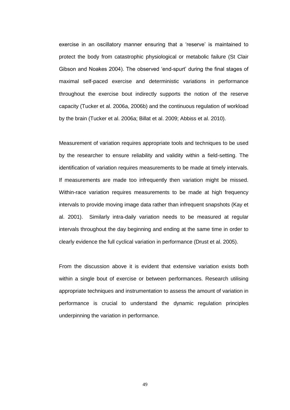exercise in an oscillatory manner ensuring that a 'reserve' is maintained to protect the body from catastrophic physiological or metabolic failure (St Clair Gibson and Noakes 2004). The observed 'end-spurt' during the final stages of maximal self-paced exercise and deterministic variations in performance throughout the exercise bout indirectly supports the notion of the reserve capacity (Tucker et al. 2006a, 2006b) and the continuous regulation of workload by the brain (Tucker et al. 2006a; Billat et al. 2009; Abbiss et al. 2010).

Measurement of variation requires appropriate tools and techniques to be used by the researcher to ensure reliability and validity within a field-setting. The identification of variation requires measurements to be made at timely intervals. If measurements are made too infrequently then variation might be missed. Within-race variation requires measurements to be made at high frequency intervals to provide moving image data rather than infrequent snapshots (Kay et al. 2001). Similarly intra-daily variation needs to be measured at regular intervals throughout the day beginning and ending at the same time in order to clearly evidence the full cyclical variation in performance (Drust et al. 2005).

From the discussion above it is evident that extensive variation exists both within a single bout of exercise or between performances. Research utilising appropriate techniques and instrumentation to assess the amount of variation in performance is crucial to understand the dynamic regulation principles underpinning the variation in performance.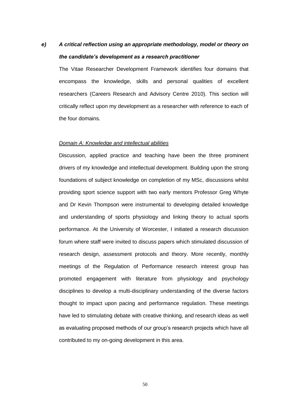# *e) A critical reflection using an appropriate methodology, model or theory on the candidate's development as a research practitioner*

The Vitae Researcher Development Framework identifies four domains that encompass the knowledge, skills and personal qualities of excellent researchers (Careers Research and Advisory Centre 2010). This section will critically reflect upon my development as a researcher with reference to each of the four domains.

### *Domain A: Knowledge and intellectual abilities*

Discussion, applied practice and teaching have been the three prominent drivers of my knowledge and intellectual development. Building upon the strong foundations of subject knowledge on completion of my MSc, discussions whilst providing sport science support with two early mentors Professor Greg Whyte and Dr Kevin Thompson were instrumental to developing detailed knowledge and understanding of sports physiology and linking theory to actual sports performance. At the University of Worcester, I initiated a research discussion forum where staff were invited to discuss papers which stimulated discussion of research design, assessment protocols and theory. More recently, monthly meetings of the Regulation of Performance research interest group has promoted engagement with literature from physiology and psychology disciplines to develop a multi-disciplinary understanding of the diverse factors thought to impact upon pacing and performance regulation. These meetings have led to stimulating debate with creative thinking, and research ideas as well as evaluating proposed methods of our group's research projects which have all contributed to my on-going development in this area.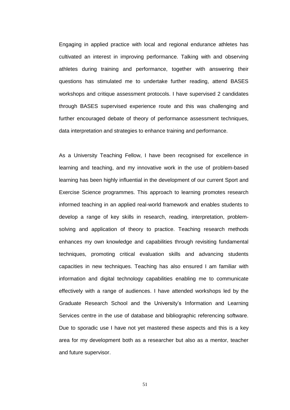Engaging in applied practice with local and regional endurance athletes has cultivated an interest in improving performance. Talking with and observing athletes during training and performance, together with answering their questions has stimulated me to undertake further reading, attend BASES workshops and critique assessment protocols. I have supervised 2 candidates through BASES supervised experience route and this was challenging and further encouraged debate of theory of performance assessment techniques, data interpretation and strategies to enhance training and performance.

As a University Teaching Fellow, I have been recognised for excellence in learning and teaching, and my innovative work in the use of problem-based learning has been highly influential in the development of our current Sport and Exercise Science programmes. This approach to learning promotes research informed teaching in an applied real-world framework and enables students to develop a range of key skills in research, reading, interpretation, problemsolving and application of theory to practice. Teaching research methods enhances my own knowledge and capabilities through revisiting fundamental techniques, promoting critical evaluation skills and advancing students capacities in new techniques. Teaching has also ensured I am familiar with information and digital technology capabilities enabling me to communicate effectively with a range of audiences. I have attended workshops led by the Graduate Research School and the University's Information and Learning Services centre in the use of database and bibliographic referencing software. Due to sporadic use I have not yet mastered these aspects and this is a key area for my development both as a researcher but also as a mentor, teacher and future supervisor.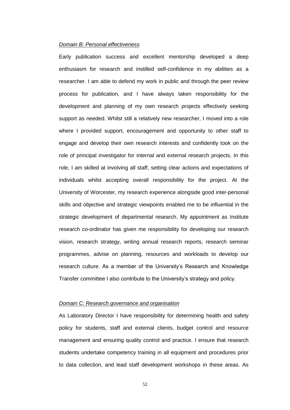### *Domain B: Personal effectiveness*

Early publication success and excellent mentorship developed a deep enthusiasm for research and instilled self-confidence in my abilities as a researcher. I am able to defend my work in public and through the peer review process for publication, and I have always taken responsibility for the development and planning of my own research projects effectively seeking support as needed. Whilst still a relatively new researcher, I moved into a role where I provided support, encouragement and opportunity to other staff to engage and develop their own research interests and confidently took on the role of principal investigator for internal and external research projects. In this role, I am skilled at involving all staff, setting clear actions and expectations of individuals whilst accepting overall responsibility for the project. At the University of Worcester, my research experience alongside good inter-personal skills and objective and strategic viewpoints enabled me to be influential in the strategic development of departmental research. My appointment as Institute research co-ordinator has given me responsibility for developing our research vision, research strategy, writing annual research reports, research seminar programmes, advise on planning, resources and workloads to develop our research culture. As a member of the University's Research and Knowledge Transfer committee I also contribute to the University's strategy and policy.

#### *Domain C: Research governance and organisation*

As Laboratory Director I have responsibility for determining health and safety policy for students, staff and external clients, budget control and resource management and ensuring quality control and practice. I ensure that research students undertake competency training in all equipment and procedures prior to data collection, and lead staff development workshops in these areas. As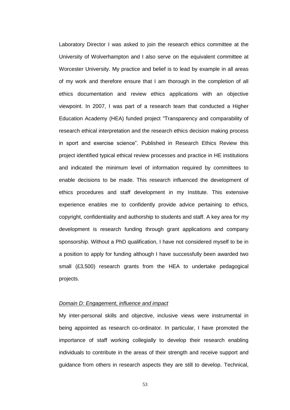Laboratory Director I was asked to join the research ethics committee at the University of Wolverhampton and I also serve on the equivalent committee at Worcester University. My practice and belief is to lead by example in all areas of my work and therefore ensure that I am thorough in the completion of all ethics documentation and review ethics applications with an objective viewpoint. In 2007, I was part of a research team that conducted a Higher Education Academy (HEA) funded project "Transparency and comparability of research ethical interpretation and the research ethics decision making process in sport and exercise science". Published in Research Ethics Review this project identified typical ethical review processes and practice in HE institutions and indicated the minimum level of information required by committees to enable decisions to be made. This research influenced the development of ethics procedures and staff development in my Institute. This extensive experience enables me to confidently provide advice pertaining to ethics, copyright, confidentiality and authorship to students and staff. A key area for my development is research funding through grant applications and company sponsorship. Without a PhD qualification, I have not considered myself to be in a position to apply for funding although I have successfully been awarded two small (£3,500) research grants from the HEA to undertake pedagogical projects.

### *Domain D: Engagement, influence and impact*

My inter-personal skills and objective, inclusive views were instrumental in being appointed as research co-ordinator. In particular, I have promoted the importance of staff working collegially to develop their research enabling individuals to contribute in the areas of their strength and receive support and guidance from others in research aspects they are still to develop. Technical,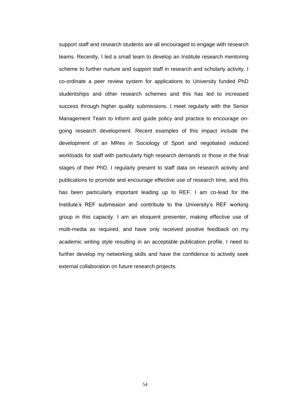support staff and research students are all encouraged to engage with research teams. Recently, I led a small team to develop an Institute research mentoring scheme to further nurture and support staff in research and scholarly activity. I co-ordinate a peer review system for applications to University funded PhD studentships and other research schemes and this has led to increased success through higher quality submissions. I meet regularly with the Senior Management Team to inform and guide policy and practice to encourage ongoing research development. Recent examples of this impact include the development of an MRes in Sociology of Sport and negotiated reduced workloads for staff with particularly high research demands or those in the final stages of their PhD. I regularly present to staff data on research activity and publications to promote and encourage effective use of research time, and this has been particularly important leading up to REF. I am co-lead for the Institute's REF submission and contribute to the University's REF working group in this capacity. I am an eloquent presenter, making effective use of multi-media as required, and have only received positive feedback on my academic writing style resulting in an acceptable publication profile. I need to further develop my networking skills and have the confidence to actively seek external collaboration on future research projects.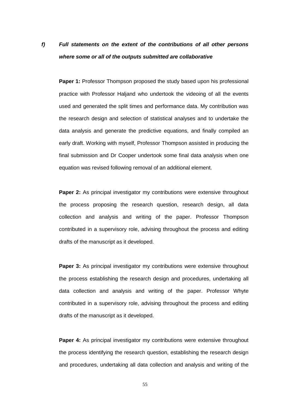# *f) Full statements on the extent of the contributions of all other persons where some or all of the outputs submitted are collaborative*

**Paper 1:** Professor Thompson proposed the study based upon his professional practice with Professor Haljand who undertook the videoing of all the events used and generated the split times and performance data. My contribution was the research design and selection of statistical analyses and to undertake the data analysis and generate the predictive equations, and finally compiled an early draft. Working with myself, Professor Thompson assisted in producing the final submission and Dr Cooper undertook some final data analysis when one equation was revised following removal of an additional element.

**Paper 2:** As principal investigator my contributions were extensive throughout the process proposing the research question, research design, all data collection and analysis and writing of the paper. Professor Thompson contributed in a supervisory role, advising throughout the process and editing drafts of the manuscript as it developed.

**Paper 3:** As principal investigator my contributions were extensive throughout the process establishing the research design and procedures, undertaking all data collection and analysis and writing of the paper. Professor Whyte contributed in a supervisory role, advising throughout the process and editing drafts of the manuscript as it developed.

**Paper 4:** As principal investigator my contributions were extensive throughout the process identifying the research question, establishing the research design and procedures, undertaking all data collection and analysis and writing of the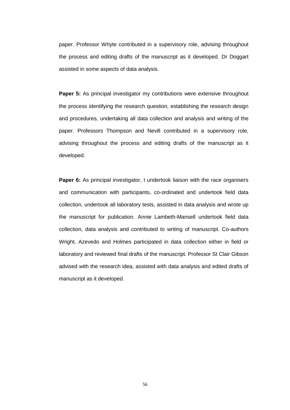paper. Professor Whyte contributed in a supervisory role, advising throughout the process and editing drafts of the manuscript as it developed. Dr Doggart assisted in some aspects of data analysis.

**Paper 5:** As principal investigator my contributions were extensive throughout the process identifying the research question, establishing the research design and procedures, undertaking all data collection and analysis and writing of the paper. Professors Thompson and Nevill contributed in a supervisory role, advising throughout the process and editing drafts of the manuscript as it developed.

**Paper 6:** As principal investigator, I undertook liaison with the race organisers and communication with participants, co-ordinated and undertook field data collection, undertook all laboratory tests, assisted in data analysis and wrote up the manuscript for publication. Annie Lambeth-Mansell undertook field data collection, data analysis and contributed to writing of manuscript. Co-authors Wright, Azevedo and Holmes participated in data collection either in field or laboratory and reviewed final drafts of the manuscript. Professor St Clair Gibson advised with the research idea, assisted with data analysis and edited drafts of manuscript as it developed.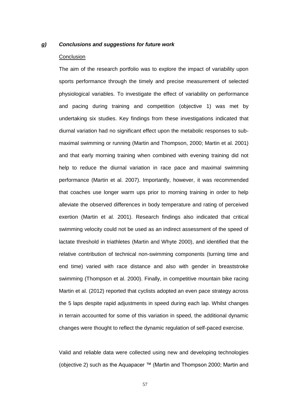### *g) Conclusions and suggestions for future work*

### **Conclusion**

The aim of the research portfolio was to explore the impact of variability upon sports performance through the timely and precise measurement of selected physiological variables. To investigate the effect of variability on performance and pacing during training and competition (objective 1) was met by undertaking six studies. Key findings from these investigations indicated that diurnal variation had no significant effect upon the metabolic responses to submaximal swimming or running (Martin and Thompson, 2000; Martin et al. 2001) and that early morning training when combined with evening training did not help to reduce the diurnal variation in race pace and maximal swimming performance (Martin et al. 2007). Importantly, however, it was recommended that coaches use longer warm ups prior to morning training in order to help alleviate the observed differences in body temperature and rating of perceived exertion (Martin et al. 2001). Research findings also indicated that critical swimming velocity could not be used as an indirect assessment of the speed of lactate threshold in triathletes (Martin and Whyte 2000), and identified that the relative contribution of technical non-swimming components (turning time and end time) varied with race distance and also with gender in breaststroke swimming (Thompson et al. 2000). Finally, in competitive mountain bike racing Martin et al. (2012) reported that cyclists adopted an even pace strategy across the 5 laps despite rapid adjustments in speed during each lap. Whilst changes in terrain accounted for some of this variation in speed, the additional dynamic changes were thought to reflect the dynamic regulation of self-paced exercise.

Valid and reliable data were collected using new and developing technologies (objective 2) such as the Aquapacer ™ (Martin and Thompson 2000; Martin and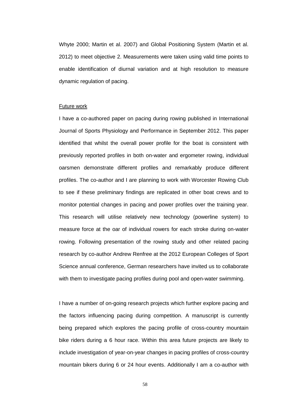Whyte 2000; Martin et al. 2007) and Global Positioning System (Martin et al. 2012) to meet objective 2. Measurements were taken using valid time points to enable identification of diurnal variation and at high resolution to measure dynamic regulation of pacing.

#### Future work

I have a co-authored paper on pacing during rowing published in International Journal of Sports Physiology and Performance in September 2012. This paper identified that whilst the overall power profile for the boat is consistent with previously reported profiles in both on-water and ergometer rowing, individual oarsmen demonstrate different profiles and remarkably produce different profiles. The co-author and I are planning to work with Worcester Rowing Club to see if these preliminary findings are replicated in other boat crews and to monitor potential changes in pacing and power profiles over the training year. This research will utilise relatively new technology (powerline system) to measure force at the oar of individual rowers for each stroke during on-water rowing. Following presentation of the rowing study and other related pacing research by co-author Andrew Renfree at the 2012 European Colleges of Sport Science annual conference, German researchers have invited us to collaborate with them to investigate pacing profiles during pool and open-water swimming.

I have a number of on-going research projects which further explore pacing and the factors influencing pacing during competition. A manuscript is currently being prepared which explores the pacing profile of cross-country mountain bike riders during a 6 hour race. Within this area future projects are likely to include investigation of year-on-year changes in pacing profiles of cross-country mountain bikers during 6 or 24 hour events. Additionally I am a co-author with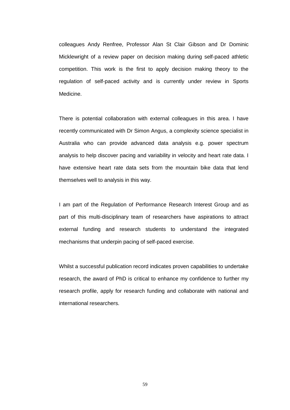colleagues Andy Renfree, Professor Alan St Clair Gibson and Dr Dominic Micklewright of a review paper on decision making during self-paced athletic competition. This work is the first to apply decision making theory to the regulation of self-paced activity and is currently under review in Sports Medicine.

There is potential collaboration with external colleagues in this area. I have recently communicated with Dr Simon Angus, a complexity science specialist in Australia who can provide advanced data analysis e.g. power spectrum analysis to help discover pacing and variability in velocity and heart rate data. I have extensive heart rate data sets from the mountain bike data that lend themselves well to analysis in this way.

I am part of the Regulation of Performance Research Interest Group and as part of this multi-disciplinary team of researchers have aspirations to attract external funding and research students to understand the integrated mechanisms that underpin pacing of self-paced exercise.

Whilst a successful publication record indicates proven capabilities to undertake research, the award of PhD is critical to enhance my confidence to further my research profile, apply for research funding and collaborate with national and international researchers.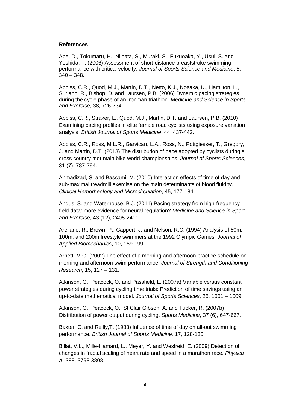### **References**

Abe, D., Tokumaru, H., Niihata, S., Muraki, S., Fukuoaka, Y., Usui, S. and Yoshida, T. (2006) Assessment of short-distance breaststroke swimming performance with critical velocity. *Journal of Sports Science and Medicine*, 5,  $340 - 348.$ 

Abbiss, C.R., Quod, M.J., Martin, D.T., Netto, K.J., Nosaka, K., Hamilton, L., Suriano, R., Bishop, D. and Laursen, P.B. (2006) Dynamic pacing strategies during the cycle phase of an Ironman triathlon. *Medicine and Science in Sports and Exercise*, 38, 726-734.

Abbiss, C.R., Straker, L., Quod, M.J., Martin, D.T. and Laursen, P.B. (2010) Examining pacing profiles in elite female road cyclists using exposure variation analysis. *British Journal of Sports Medicine*, 44, 437-442.

Abbiss, C.R., Ross, M.L.R., Garvican, L.A., Ross, N., Pottgiesser, T., Gregory, J. and Martin, D.T. (2013) The distribution of pace adopted by cyclists during a cross country mountain bike world championships. *Journal of Sports Sciences*, 31 (7), 787-794.

Ahmadizad, S. and Bassami, M. (2010) Interaction effects of time of day and sub-maximal treadmill exercise on the main determinants of blood fluidity. *Clinical Hemorheology and Microcirculation*, 45, 177-184.

Angus, S. and Waterhouse, B.J. (2011) Pacing strategy from high-frequency field data: more evidence for neural regulation? *Medicine and Science in Sport and Exercise*, 43 (12), 2405-2411.

Arellano, R., Brown, P., Cappert, J. and Nelson, R.C. (1994) Analysis of 50m, 100m, and 200m freestyle swimmers at the 1992 Olympic Games. *Journal of Applied Biomechanics*, 10, 189-199

Arnett, M.G. (2002) The effect of a morning and afternoon practice schedule on morning and afternoon swim performance. *Journal of Strength and Conditioning Research,* 15, 127 – 131.

Atkinson, G., Peacock, O. and Passfield, L. (2007a) Variable versus constant power strategies during cycling time trials: Prediction of time savings using an up-to-date mathematical model. *Journal of Sports Sciences*, 25, 1001 – 1009.

Atkinson, G., Peacock, O., St Clair Gibson, A. and Tucker, R. (2007b) Distribution of power output during cycling. *Sports Medicine*, 37 (6), 647-667.

Baxter, C. and Reilly,T. (1983) Influence of time of day on all-out swimming performance. *British Journal of Sports Medicine,* 17, 128-130.

Billat, V.L., Mille-Hamard, L., Meyer, Y. and Wesfreid, E. (2009) Detection of changes in fractal scaling of heart rate and speed in a marathon race. *Physica A,* 388, 3798-3808.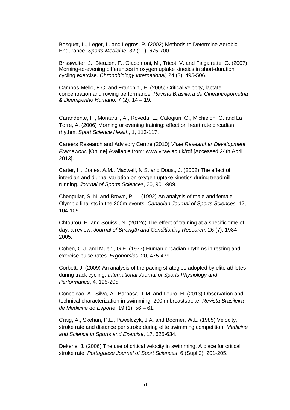Bosquet, L., Leger, L. and Legros, P. (2002) Methods to Determine Aerobic Endurance. *Sports Medicine,* 32 (11), 675-700.

Brisswalter, J., Bieuzen, F., Giacomoni, M., Tricot, V. and Falgairette, G. (2007) Morning-to-evening differences in oxygen uptake kinetics in short-duration cycling exercise. *Chronobiology International,* 24 (3), 495-506.

Campos-Mello, F.C. and Franchini, E. (2005) Critical velocity, lactate concentration and rowing performance. *Revista Brasiliera de Cineantropometria & Deempenho Humano,* 7 (2), 14 – 19.

Carandente, F., Montaruli, A., Roveda, E., Calogiuri, G., Michielon, G. and La Torre, A. (2006) Morning or evening training: effect on heart rate circadian rhythm. *Sport Science Health*, 1, 113-117.

Careers Research and Advisory Centre (2010) *Vitae Researcher Development Framework*. [Online] Available from: [www.vitae.ac.uk/rdf](http://www.vitae.ac.uk/rdf) [Accessed 24th April 2013].

Carter, H., Jones, A.M., Maxwell, N.S. and Doust, J. (2002) The effect of interdian and diurnal variation on oxygen uptake kinetics during treadmill running. *Journal of Sports Sciences*, 20, 901-909.

Chengular, S. N. and Brown, P. L. (1992) An analysis of male and female Olympic finalists in the 200m events. *Canadian Journal of Sports Sciences,* 17, 104-109.

Chtourou, H. and Souissi, N. (2012c) The effect of training at a specific time of day: a review. *Journal of Strength and Conditioning Research*, 26 (7), 1984- 2005.

Cohen, C.J. and Muehl, G.E. (1977) Human circadian rhythms in resting and exercise pulse rates. *Ergonomics*, 20, 475-479.

Corbett, J. (2009) An analysis of the pacing strategies adopted by elite athletes during track cycling. *International Journal of Sports Physiology and Performance*, 4, 195-205.

Conceicao, A., Silva, A., Barbosa, T.M. and Louro, H. (2013) Observation and technical characterization in swimming: 200 m breaststroke. *Revista Brasileira de Medicine do Esporte*, 19 (1), 56 – 61.

Craig, A., Skehan, P.L., Pawelczyk, J.A. and Boomer, W.L. (1985) Velocity, stroke rate and distance per stroke during elite swimming competition. *Medicine and Science in Sports and Exercise*, 17, 625-634.

Dekerle, J. (2006) The use of critical velocity in swimming. A place for critical stroke rate. *Portuguese Journal of Sport Sciences*, 6 (Supl 2), 201-205.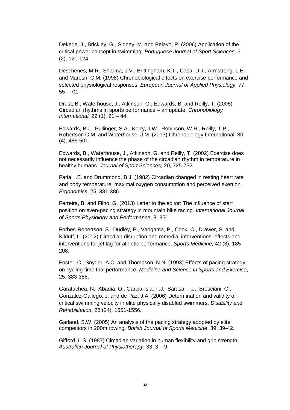Dekerle, J., Brickley, G., Sidney, M. and Pelayo, P. (2006) Application of the critical power concept in swimming. *Portuguese Journal of Sport Sciences,* 6 (2), 121-124.

Deschenes, M.R., Sharma, J.V., Brittingham, K.T., Casa, D.J., Armstrong, L.E. and Maresh, C.M. (1998) Chronobiological effects on exercise performance and selected physiological responses. *European Journal of Applied Physiology,* 77,  $55 - 72.$ 

Drust, B., Waterhouse, J., Atkinson, G., Edwards, B. and Reilly, T. (2005) Circadian rhythms in sports performance – an update. *Chronobiology International,* 22 (1), 21 – 44.

Edwards, B.J., Pullinger, S.A., Kerry, J.W., Robinson, W.R., Reilly, T.P., Robertson C.M. and Waterhouse, J.M. (2013) Chronobiology International, 30 (4), 486-501.

Edwards, B., Waterhouse, J., Atkinson, G. and Reilly, T. (2002) Exercise does not necessarily influence the phase of the circadian rhythm in temperature in healthy humans. *Journal of Sport Sciences*, 20, 725-732.

Faria, I.E. and Drummond, B.J. (1982) Circadian changed in resting heart rate and body temperature, maximal oxygen consumption and perceived exertion. *Ergonomics*, 25, 381-386.

Ferreira, B. and Filho, G. (2013) Letter to the editor: The influence of start position on even-pacing strategy in mountain bike racing. *International Journal of Sports Physiology and Performance*, 8, 351.

Forbes-Robertson, S., Dudley, E., Vadgama, P., Cook, C., Drawer, S. and Kilduff, L. (2012) Ciracdian disruption and remedial interventions: effects and interventions for jet lag for athletic performance. *Sports Medicine,* 42 (3), 185- 208.

Foster, C., Snyder, A.C. and Thompson, N.N. (1993) Effects of pacing strategy on cycling time trial performance. *Medicine and Science in Sports and Exercise*, 25, 383-388.

Garatachea, N., Abadia, O., Garcia-Isla, F.J., Sarasa, F.J., Bresciani, G., Gonzalez-Gallego, J. and de Paz, J.A. (2006) Determination and validity of critical swimming velocity in elite physically disabled swimmers. *Disability and Rehabilitation,* 28 (24), 1551-1556.

Garland, S.W. (2005) An analysis of the pacing strategy adopted by elite competitors in 200m rowing. *British Journal of Sports Medicine*, 39, 39-42.

Gifford, L.S. (1987) Circadian variation in human flexibility and grip strength. *Australian Journal of Physiotherapy*, 33, 3 – 9.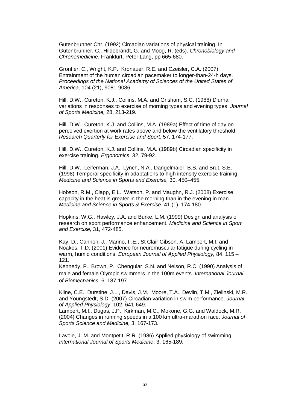Gutenbrunner Chr. (1992) Circadian variations of physical training. In Gutenbrunner, C., Hildebrandt, G. and Moog, R. (eds). *Chronobiology and Chronomedicine*. Frankfurt, Peter Lang, pp 665-680.

Gronfier, C., Wright, K.P., Kronauer, R.E. and Czeisler, C.A. (2007) Entrainment of the human circadian pacemaker to longer-than-24-h days. *Proceedings of the National Academy of Sciences of the United States of America,* 104 (21), 9081-9086.

Hill, D.W., Cureton, K.J., Collins, M.A. and Grisham, S.C. (1988) Diurnal variations in responses to exercise of morning types and evening types. *Journal of Sports Medicine,* 28, 213-219.

Hill, D.W., Cureton, K.J. and Collins, M.A. (1989a) Effect of time of day on perceived exertion at work rates above and below the ventilatory threshold. *Research Quarterly for Exercise and Sport*, 57, 174-177.

Hill, D.W., Cureton, K.J. and Collins, M.A. (1989b) Circadian specificity in exercise training. *Ergonomics*, 32, 79-92.

Hill, D.W., Leiferman, J.A., Lynch, N.A., Dangelmaier, B.S. and Brut, S.E. (1998) Temporal specificity in adaptations to high intensity exercise training. *Medicine and Science in Sports and Exercise,* 30, 450–455.

Hobson, R.M., Clapp, E.L., Watson, P. and Maughn, R.J. (2008) Exercise capacity in the heat is greater in the morning than in the evening in man. *Medicine and Science in Sports & Exercise*, 41 (1), 174-180.

Hopkins, W.G., Hawley, J.A. and Burke, L.M. (1999) Design and analysis of research on sport performance enhancement. *Medicine and Science in Sport and Exercise,* 31, 472-485.

Kay, D., Cannon, J., Marino, F.E., St Clair Gibson, A. Lambert, M.I. and Noakes, T.D. (2001) Evidence for neuromuscular fatigue during cycling in warm, humid conditions. *European Journal of Applied Physiology,* 84, 115 – 121.

Kennedy, P., Brown, P., Chengular, S.N. and Nelson, R.C. (1990) Analysis of male and female Olympic swimmers in the 100m events. *International Journal of Biomechanics,* 6, 187-197

Kline, C.E., Durstine, J.L., Davis, J.M., Moore, T.A., Devlin, T.M., Zielinski, M.R. and Youngstedt, S.D. (2007) Circadian variation in swim performance. *Journal of Applied Physiology*, 102, 641-649.

Lambert, M.I., Dugas, J.P., Kirkman, M.C., Mokone, G.G. and Waldock, M.R. (2004) Changes in running speeds in a 100 km ultra-marathon race. *Journal of Sports Science and Medicine,* 3, 167-173.

Lavoie, J. M. and Montpetit, R.R. (1986) Applied physiology of swimming. *International Journal of Sports Medicine*, 3, 165-189.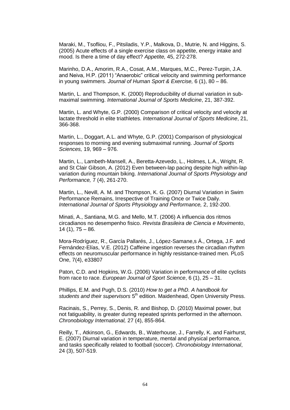Maraki, M., Tsofliou, F., Pitsiladis, Y.P., Malkova, D., Mutrie, N. and Higgins, S. (2005) Acute effects of a single exercise class on appetite, energy intake and mood. Is there a time of day effect? *Appetite,* 45, 272-278.

Marinho, D.A., Amorim, R.A., Cosat, A.M., Marques, M.C., Perez-Turpin, J.A. and Neiva, H.P. (2011) "Anaerobic" critical velocity and swimming performance in young swimmers. *Journal of Human Sport & Exercise,* 6 (1), 80 – 86.

Martin, L. and Thompson, K. (2000) Reproducibility of diurnal variation in submaximal swimming. *International Journal of Sports Medicine*, 21, 387-392.

Martin, L. and Whyte, G.P. (2000) Comparison of critical velocity and velocity at lactate threshold in elite triathletes. *International Journal of Sports Medicine*, 21, 366-368.

Martin, L., Doggart, A.L. and Whyte, G.P. (2001) Comparison of physiological responses to morning and evening submaximal running. *Journal of Sports Sciences,* 19, 969 – 976.

Martin, L., Lambeth-Mansell, A., Beretta-Azevedo, L., Holmes, L.A., Wright, R. and St Clair Gibson, A. (2012) Even between-lap pacing despite high within-lap variation during mountain biking. *International Journal of Sports Physiology and Performance,* 7 (4), 261-270.

Martin, L., Nevill, A. M. and Thompson, K. G. (2007) Diurnal Variation in Swim Performance Remains, Irrespective of Training Once or Twice Daily. *International Journal of Sports Physiology and Performance,* 2, 192-200.

Minati, A., Santiana, M.G. and Mello, M.T. (2006) A influencia dos ritmos circadianos no desempenho fisico. *Revista Brasileira de Ciencia e Movimento*,  $14(1), 75 - 86.$ 

Mora-Rodríguez, R., García Pallarés, J., López-Samane,s Á., Ortega, J.F. and Fernández-Elías, V.E. (2012) Caffeine ingestion reverses the circadian rhythm effects on neuromuscular performance in highly resistance-trained men. PLoS One, 7(4), e33807

Paton, C.D. and Hopkins, W.G. (2006) Variation in performance of elite cyclists from race to race. *European Journal of Sport Science*, 6 (1), 25 – 31.

Phillips, E.M. and Pugh, D.S. (2010) *How to get a PhD. A handbook for*  students and their supervisors 5<sup>th</sup> edition. Maidenhead, Open University Press.

Racinais, S., Perrey, S., Denis, R. and Bishop, D. (2010) Maximal power, but not fatiguability, is greater during repeated sprints performed in the afternoon. *Chronobiology International,* 27 (4), 855-864.

Reilly, T., Atkinson, G., Edwards, B., Waterhouse, J., Farrelly, K. and Fairhurst, E. (2007) Diurnal variation in temperature, mental and physical performance, and tasks specifically related to football (soccer). *Chronobiology International*, 24 (3), 507-519.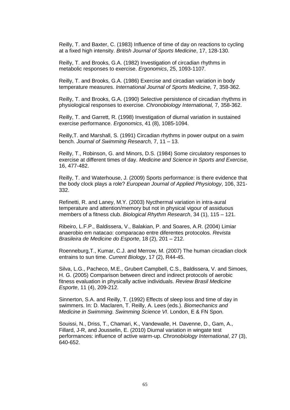Reilly, T. and Baxter, C. (1983) Influence of time of day on reactions to cycling at a fixed high intensity. *British Journal of Sports Medicine*, 17, 128-130.

Reilly, T. and Brooks, G.A. (1982) Investigation of circadian rhythms in metabolic responses to exercise. *Ergonomics*, 25, 1093-1107.

Reilly, T. and Brooks, G.A. (1986) Exercise and circadian variation in body temperature measures. *International Journal of Sports Medicine,* 7, 358-362.

Reilly, T. and Brooks, G.A. (1990) Selective persistence of circadian rhythms in physiological responses to exercise. *Chronobiology International,* 7, 358-362.

Reilly, T. and Garrett, R. (1998) Investigation of diurnal variation in sustained exercise performance. *Ergonomics*, 41 (8), 1085-1094.

Reilly,T. and Marshall, S. (1991) Circadian rhythms in power output on a swim bench. *Journal of Swimming Research,* 7, 11 – 13.

Reilly, T., Robinson, G. and Minors, D.S. (1984) Some circulatory responses to exercise at different times of day. *Medicine and Science in Sports and Exercise,*  16, 477-482.

Reilly, T. and Waterhouse, J. (2009) Sports performance: is there evidence that the body clock plays a role? *European Journal of Applied Physiology*, 106, 321- 332.

Refinetti, R. and Laney, M.Y. (2003) Nycthermal variation in intra-aural temperature and attention/memory but not in physical vigour of assiduous members of a fitness club. *Biological Rhythm Research*, 34 (1), 115 – 121.

Ribeiro, L.F.P., Baldissera, V., Balakian, P. and Soares, A.R. (2004) Limiar anaerobio em natacao: comparacao entre diferentes protocolos. *Revista Brasileira de Medicine do Esporte*, 18 (2), 201 – 212.

Roenneburg,T., Kumar, C.J. and Merrow, M. (2007) The human circadian clock entrains to sun time. *Current Biology*, 17 (2), R44-45.

Silva, L.G., Pacheco, M.E., Grubert Campbell, C.S., Baldissera, V. and Simoes, H. G. (2005) Comparison between direct and indirect protocols of aerobic fitness evaluation in physically active individuals. *Review Brasil Medicine Esporte*, 11 (4), 209-212.

Sinnerton, S.A. and Reilly, T. (1992) Effects of sleep loss and time of day in swimmers. In: D. Maclaren, T. Reilly, A. Lees (eds.). *Biomechanics and Medicine in Swimming. Swimming Science VI*. London, E & FN Spon.

Souissi, N., Driss, T., Chamari, K., Vandewalle, H. Davenne, D., Gam, A., Fillard, J-R, and Jousselin, E. (2010) Diurnal variation in wingate test performances: influence of active warm-up. *Chronobiology International*, 27 (3), 640-652.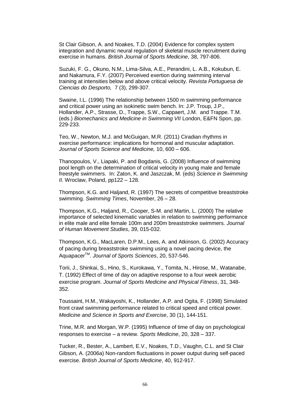St Clair Gibson, A. and Noakes, T.D. (2004) Evidence for complex system integration and dynamic neural regulation of skeletal muscle recruitment during exercise in humans. *British Journal of Sports Medicine*, 38, 797-806.

Suzuki, F. G., Okuno, N.M., Lima-Silva, A.E., Perandini, L. A.B., Kokubun, E. and Nakamura, F.Y. (2007) Perceived exertion during swimming interval training at intensities below and above critical velocity. *Revista Portuguesa de Ciencias do Desporto,* 7 (3), 299-307.

Swaine, I.L. (1996) The relationship between 1500 m swimming performance and critical power using an isokinetic swim bench. In: J.P. Troup, J.P., Hollander, A.P., Strasse, D., Trappe, S.W., Cappaert, J.M. and Trappe. T.M. (eds.) *Biomechanics and Medicine in Swimming VII* London, E&FN Spon, pp. 229-233.

Teo, W., Newton, M.J. and McGuigan, M.R. (2011) Ciradian rhythms in exercise performance: implications for hormonal and muscular adaptation. *Journal of Sports Science and Medicine,* 10, 600 – 606.

Thanopoulos, V., Liapaki, P. and Bogdanis, G. (2008) Influence of swimming pool length on the determination of critical velocity in young male and female freestyle swimmers. In: Zaton, K. and Jaszczak, M. (eds) *Science in Swimming II*. Wroclaw, Poland, pp122 – 128.

Thompson, K.G. and Haljand, R. (1997) The secrets of competitive breaststroke swimming. *Swimming Times*, November, 26 – 28.

Thompson, K.G., Haljand, R., Cooper, S-M. and Martin, L. (2000) The relative importance of selected kinematic variables in relation to swimming performance in elite male and elite female 100m and 200m breaststroke swimmers. *Journal of Human Movement Studies*, 39, 015-032.

Thompson, K.G., MacLaren, D.P.M., Lees, A. and Atkinson, G. (2002) Accuracy of pacing during breaststroke swimming using a novel pacing device, the AquapacerTM . *Journal of Sports Sciences*, 20, 537-546.

Torii, J., Shinkai, S., Hino, S., Kurokawa, Y., Tomita, N., Hirose, M., Watanabe, T. (1992) Effect of time of day on adaptive response to a four week aerobic exercise program. *Journal of Sports Medicine and Physical Fitness*, 31, 348- 352.

Toussaint, H.M., Wakayoshi, K., Hollander, A.P. and Ogita, F. (1998) Simulated front crawl swimming performance related to critical speed and critical power. *Medicine and Science in Sports and Exercise*, 30 (1), 144-151.

Trine, M.R. and Morgan, W.P. (1995) Influence of time of day on psychological responses to exercise – a review. *Sports Medicine*, 20, 328 – 337.

Tucker, R., Bester, A., Lambert, E.V., Noakes, T.D., Vaughn, C.L. and St Clair Gibson, A. (2006a) Non-random fluctuations in power output during self-paced exercise. *British Journal of Sports Medicine*, 40, 912-917.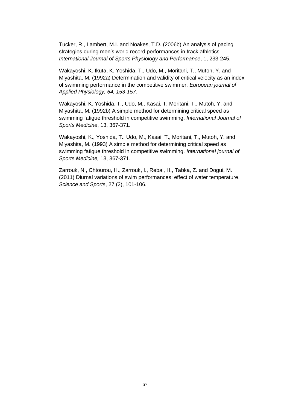Tucker, R., Lambert, M.I. and Noakes, T.D. (2006b) An analysis of pacing strategies during men's world record performances in track athletics. *International Journal of Sports Physiology and Performance*, 1, 233-245.

Wakayoshi, K. Ikuta, K.,Yoshida, T., Udo, M., Moritani, T., Mutoh, Y. and Miyashita, M. (1992a) Determination and validity of critical velocity as an index of swimming performance in the competitive swimmer. *European journal of Applied Physiology, 64, 153-157.*

Wakayoshi, K. Yoshida, T., Udo, M., Kasai, T. Moritani, T., Mutoh, Y. and Miyashita, M. (1992b) A simple method for determining critical speed as swimming fatigue threshold in competitive swimming. *International Journal of Sports Medicine*, 13, 367-371.

Wakayoshi, K., Yoshida, T., Udo, M., Kasai, T., Moritani, T., Mutoh, Y. and Miyashita, M. (1993) A simple method for determining critical speed as swimming fatigue threshold in competitive swimming. *International journal of Sports Medicine,* 13, 367-371.

Zarrouk, N., Chtourou, H., Zarrouk, I., Rebai, H., Tabka, Z. and Dogui, M. (2011) Diurnal variations of swim performances: effect of water temperature. *Science and Sports*, 27 (2), 101-106.